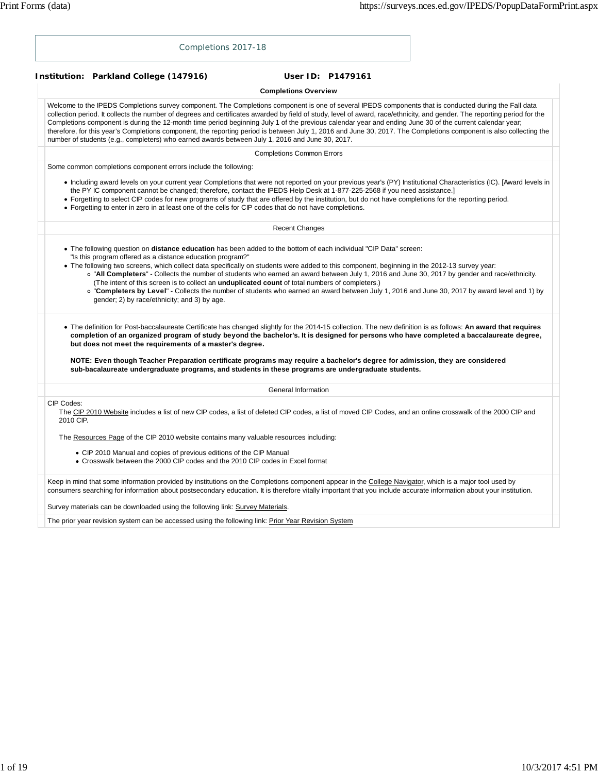| Completions 2017-18                                                                                                                                                                                                                                                                                                                                                                                                                                                                                                                                                                                                                                                                                                                                                      |
|--------------------------------------------------------------------------------------------------------------------------------------------------------------------------------------------------------------------------------------------------------------------------------------------------------------------------------------------------------------------------------------------------------------------------------------------------------------------------------------------------------------------------------------------------------------------------------------------------------------------------------------------------------------------------------------------------------------------------------------------------------------------------|
| Institution: Parkland College (147916)<br>User ID: P1479161                                                                                                                                                                                                                                                                                                                                                                                                                                                                                                                                                                                                                                                                                                              |
| <b>Completions Overview</b>                                                                                                                                                                                                                                                                                                                                                                                                                                                                                                                                                                                                                                                                                                                                              |
| Welcome to the IPEDS Completions survey component. The Completions component is one of several IPEDS components that is conducted during the Fall data<br>collection period. It collects the number of degrees and certificates awarded by field of study, level of award, race/ethnicity, and gender. The reporting period for the<br>Completions component is during the 12-month time period beginning July 1 of the previous calendar year and ending June 30 of the current calendar year;<br>therefore, for this year's Completions component, the reporting period is between July 1, 2016 and June 30, 2017. The Completions component is also collecting the<br>number of students (e.g., completers) who earned awards between July 1, 2016 and June 30, 2017. |
| <b>Completions Common Errors</b>                                                                                                                                                                                                                                                                                                                                                                                                                                                                                                                                                                                                                                                                                                                                         |
| Some common completions component errors include the following:                                                                                                                                                                                                                                                                                                                                                                                                                                                                                                                                                                                                                                                                                                          |
| • Including award levels on your current year Completions that were not reported on your previous year's (PY) Institutional Characteristics (IC). [Award levels in<br>the PY IC component cannot be changed; therefore, contact the IPEDS Help Desk at 1-877-225-2568 if you need assistance.]<br>• Forgetting to select CIP codes for new programs of study that are offered by the institution, but do not have completions for the reporting period.<br>• Forgetting to enter in zero in at least one of the cells for CIP codes that do not have completions.                                                                                                                                                                                                        |
| <b>Recent Changes</b>                                                                                                                                                                                                                                                                                                                                                                                                                                                                                                                                                                                                                                                                                                                                                    |
| "Is this program offered as a distance education program?"<br>• The following two screens, which collect data specifically on students were added to this component, beginning in the 2012-13 survey year:<br>o "All Completers" - Collects the number of students who earned an award between July 1, 2016 and June 30, 2017 by gender and race/ethnicity.<br>(The intent of this screen is to collect an <i>unduplicated count</i> of total numbers of completers.)<br>o "Completers by Level" - Collects the number of students who earned an award between July 1, 2016 and June 30, 2017 by award level and 1) by<br>gender; 2) by race/ethnicity; and 3) by age.                                                                                                   |
| . The definition for Post-baccalaureate Certificate has changed slightly for the 2014-15 collection. The new definition is as follows: An award that requires<br>completion of an organized program of study beyond the bachelor's. It is designed for persons who have completed a baccalaureate degree,<br>but does not meet the requirements of a master's degree.<br>NOTE: Even though Teacher Preparation certificate programs may require a bachelor's degree for admission, they are considered                                                                                                                                                                                                                                                                   |
| sub-bacalaureate undergraduate programs, and students in these programs are undergraduate students.                                                                                                                                                                                                                                                                                                                                                                                                                                                                                                                                                                                                                                                                      |
| General Information                                                                                                                                                                                                                                                                                                                                                                                                                                                                                                                                                                                                                                                                                                                                                      |
| CIP Codes:<br>The CIP 2010 Website includes a list of new CIP codes, a list of deleted CIP codes, a list of moved CIP Codes, and an online crosswalk of the 2000 CIP and<br>2010 CIP.                                                                                                                                                                                                                                                                                                                                                                                                                                                                                                                                                                                    |
| The Resources Page of the CIP 2010 website contains many valuable resources including:                                                                                                                                                                                                                                                                                                                                                                                                                                                                                                                                                                                                                                                                                   |
| • CIP 2010 Manual and copies of previous editions of the CIP Manual<br>• Crosswalk between the 2000 CIP codes and the 2010 CIP codes in Excel format                                                                                                                                                                                                                                                                                                                                                                                                                                                                                                                                                                                                                     |
| Keep in mind that some information provided by institutions on the Completions component appear in the College Navigator, which is a major tool used by<br>consumers searching for information about postsecondary education. It is therefore vitally important that you include accurate information about your institution.                                                                                                                                                                                                                                                                                                                                                                                                                                            |
| Survey materials can be downloaded using the following link: Survey Materials.                                                                                                                                                                                                                                                                                                                                                                                                                                                                                                                                                                                                                                                                                           |
| The prior year revision system can be accessed using the following link: Prior Year Revision System                                                                                                                                                                                                                                                                                                                                                                                                                                                                                                                                                                                                                                                                      |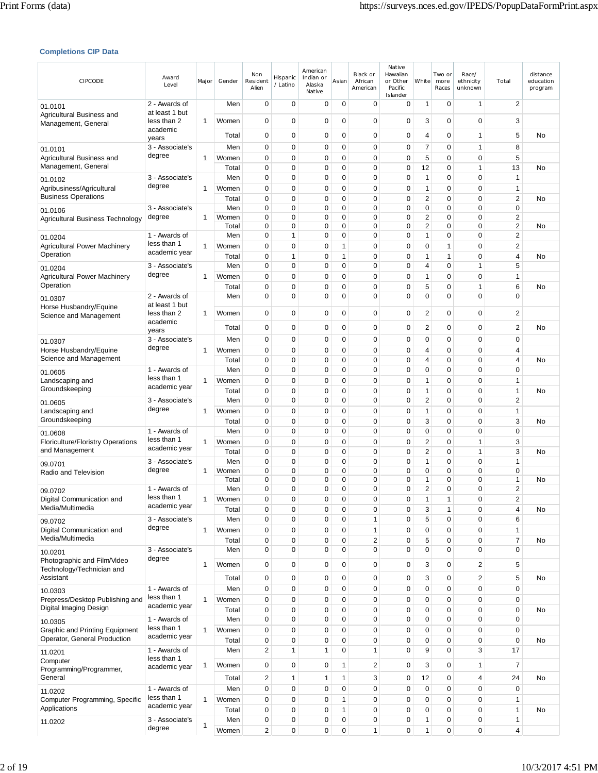## **Completions CIP Data**

| CIPCODE                                                               | Award<br>Level                  | Major        | Gender         | Non<br>Resident<br>Alien             | Hispanic<br>/ Latino       | American<br>Indian or<br>Alaska<br>Native | Asian               | Black or<br>African<br>American | Native<br>Hawaiian<br>or Other<br>Pacific<br>Islander | White               | Two or<br>more<br>Races | Race/<br>ethnicity<br>unknown | Total                                     | distance<br>education<br>program |
|-----------------------------------------------------------------------|---------------------------------|--------------|----------------|--------------------------------------|----------------------------|-------------------------------------------|---------------------|---------------------------------|-------------------------------------------------------|---------------------|-------------------------|-------------------------------|-------------------------------------------|----------------------------------|
| 01.0101<br>Agricultural Business and                                  | 2 - Awards of<br>at least 1 but |              | Men            | $\mathbf 0$                          | 0                          | 0                                         | 0                   | $\mathbf 0$                     | 0                                                     | 1                   | 0                       | $\mathbf{1}$                  | $\overline{2}$                            |                                  |
| Management, General                                                   | less than 2<br>academic         | 1            | Women          | $\mathbf 0$                          | 0                          | 0                                         | 0                   | 0                               | 0                                                     | 3                   | 0                       | $\mathbf 0$                   | 3                                         |                                  |
|                                                                       | years                           |              | Total          | 0                                    | $\mathbf 0$                | 0                                         | $\mathbf 0$         | 0                               | 0                                                     | 4                   | 0                       | $\mathbf{1}$                  | 5                                         | No                               |
| 01.0101<br>Agricultural Business and                                  | 3 - Associate's<br>degree       | 1            | Men<br>Women   | 0<br>$\mathbf 0$                     | 0<br>$\mathbf 0$           | 0<br>0                                    | 0<br>0              | 0<br>$\mathbf 0$                | 0<br>0                                                | 7<br>5              | 0<br>0                  | $\mathbf{1}$<br>$\mathbf 0$   | 8<br>5                                    |                                  |
| Management, General                                                   |                                 |              | Total          | $\mathbf 0$                          | 0                          | 0                                         | 0                   | $\mathbf 0$                     | 0                                                     | 12                  | 0                       | $\mathbf{1}$                  | 13                                        | No                               |
| 01.0102                                                               | 3 - Associate's                 |              | Men            | 0                                    | $\mathbf 0$                | 0                                         | 0                   | 0                               | 0                                                     | 1                   | 0                       | $\mathbf 0$                   | $\mathbf{1}$                              |                                  |
| Agribusiness/Agricultural<br><b>Business Operations</b>               | degree                          | 1            | Women<br>Total | 0<br>$\mathbf 0$                     | $\mathbf 0$<br>$\mathbf 0$ | 0<br>0                                    | 0<br>0              | $\mathbf 0$<br>$\mathbf 0$      | 0<br>0                                                | 1<br>2              | 0<br>0                  | $\mathbf 0$<br>$\mathbf 0$    | 1<br>$\sqrt{2}$                           | No                               |
| 01.0106                                                               | 3 - Associate's                 |              | Men            | $\mathbf 0$                          | $\mathbf 0$                | 0                                         | 0                   | 0                               | 0                                                     | 0                   | 0                       | $\mathbf 0$                   | $\mathbf 0$                               |                                  |
| Agricultural Business Technology                                      | degree                          | 1            | Women<br>Total | 0<br>0                               | 0<br>$\mathbf 0$           | 0<br>0                                    | 0<br>0              | 0<br>$\mathbf 0$                | 0<br>0                                                | 2<br>$\overline{c}$ | 0<br>0                  | $\mathbf 0$<br>$\mathbf 0$    | 2<br>2                                    | No                               |
| 01.0204                                                               | 1 - Awards of                   |              | Men            | 0                                    | 1                          | 0                                         | 0                   | $\mathbf 0$                     | 0                                                     | 1                   | 0                       | $\mathbf 0$                   | 2                                         |                                  |
| <b>Agricultural Power Machinery</b>                                   | less than 1<br>academic year    | 1            | Women          | 0                                    | $\mathbf 0$                | 0                                         | 1                   | 0                               | 0                                                     | 0                   | 1                       | $\mathbf 0$                   | 2                                         |                                  |
| Operation                                                             | 3 - Associate's                 |              | Total          | $\mathbf 0$<br>$\mathbf 0$           | 1<br>$\mathbf 0$           | $\mathbf 0$<br>0                          | 1<br>0              | $\mathbf 0$<br>0                | 0<br>0                                                | 1                   | 1<br>0                  | $\mathbf 0$<br>$\mathbf{1}$   | 4<br>5                                    | No                               |
| 01.0204<br><b>Agricultural Power Machinery</b>                        | degree                          | 1            | Men<br>Women   | 0                                    | $\mathbf 0$                | 0                                         | 0                   | $\mathbf 0$                     | 0                                                     | 4<br>1              | 0                       | 0                             | 1                                         |                                  |
| Operation                                                             |                                 |              | Total          | $\mathbf 0$                          | 0                          | 0                                         | 0                   | 0                               | 0                                                     | 5                   | 0                       | $\mathbf{1}$                  | 6                                         | No                               |
| 01.0307                                                               | 2 - Awards of                   |              | Men            | $\mathbf 0$                          | $\mathbf 0$                | 0                                         | 0                   | $\mathbf 0$                     | 0                                                     | 0                   | 0                       | $\mathbf 0$                   | $\mathbf 0$                               |                                  |
| Horse Husbandry/Equine<br>Science and Management                      | at least 1 but<br>less than 2   | 1            | Women          | 0                                    | 0                          | 0                                         | 0                   | 0                               | 0                                                     | 2                   | 0                       | 0                             | 2                                         |                                  |
|                                                                       | academic<br>years               |              | Total          | $\mathbf 0$                          | 0                          | 0                                         | 0                   | 0                               | 0                                                     | 2                   | 0                       | $\mathbf 0$                   | 2                                         | No                               |
| 01.0307                                                               | 3 - Associate's                 |              | Men            | $\mathbf 0$                          | 0                          | 0                                         | 0                   | 0                               | 0                                                     | 0                   | 0                       | $\mathbf 0$                   | $\mathbf 0$                               |                                  |
| Horse Husbandry/Equine                                                | degree                          | 1            | Women          | $\mathbf 0$                          | $\mathbf 0$                | 0                                         | 0                   | $\mathbf 0$                     | 0                                                     | 4                   | 0                       | $\mathbf 0$                   | 4                                         |                                  |
| Science and Management                                                | 1 - Awards of                   |              | Total<br>Men   | 0<br>0                               | $\mathbf 0$<br>$\mathbf 0$ | 0<br>0                                    | 0<br>0              | $\mathbf 0$<br>$\mathbf 0$      | 0<br>0                                                | 4<br>0              | 0<br>0                  | $\mathbf 0$<br>$\mathbf 0$    | 4<br>$\mathbf 0$                          | No                               |
| 01.0605<br>Landscaping and                                            | less than 1                     | 1            | Women          | 0                                    | $\mathbf 0$                | 0                                         | 0                   | 0                               | 0                                                     | 1                   | 0                       | $\mathbf 0$                   | 1                                         |                                  |
| Groundskeeping                                                        | academic year                   |              | Total          | $\mathbf 0$                          | $\mathbf 0$                | 0                                         | 0                   | $\mathbf 0$                     | 0                                                     | 1                   | 0                       | $\mathbf 0$                   | 1                                         | No                               |
| 01.0605                                                               | 3 - Associate's                 |              | Men            | $\mathbf 0$                          | $\mathbf 0$                | 0                                         | 0                   | $\mathbf 0$                     | 0                                                     | 2                   | 0                       | $\mathbf 0$                   | $\overline{2}$                            |                                  |
| Landscaping and<br>Groundskeeping                                     | degree                          | 1            | Women<br>Total | 0<br>$\mathbf 0$                     | 0<br>$\mathbf 0$           | 0<br>0                                    | 0<br>0              | 0<br>0                          | 0<br>0                                                | 1<br>3              | 0<br>0                  | $\mathbf 0$<br>$\mathbf 0$    | 1<br>3                                    | No                               |
| 01.0608                                                               | 1 - Awards of                   |              | Men            | 0                                    | $\mathbf 0$                | 0                                         | 0                   | 0                               | 0                                                     | 0                   | 0                       | $\mathbf 0$                   | $\mathbf 0$                               |                                  |
| <b>Floriculture/Floristry Operations</b>                              | less than 1                     | 1            | Women          | $\mathbf 0$                          | $\mathbf 0$                | 0                                         | 0                   | $\mathbf 0$                     | 0                                                     | 2                   | 0                       | $\mathbf{1}$                  | 3                                         |                                  |
| and Management                                                        | academic year                   |              | Total          | $\mathbf 0$                          | $\mathbf 0$                | 0                                         | 0                   | $\mathbf 0$                     | 0                                                     | 2                   | 0                       | 1                             | 3                                         | No                               |
| 09.0701<br>Radio and Television                                       | 3 - Associate's<br>degree       | 1            | Men<br>Women   | $\mathbf 0$<br>$\mathbf 0$           | $\mathbf 0$<br>$\mathbf 0$ | 0<br>0                                    | 0<br>0              | 0<br>$\mathbf 0$                | 0<br>0                                                | $\mathbf{1}$<br>0   | 0<br>0                  | $\mathbf 0$<br>$\mathbf 0$    | $\mathbf{1}$<br>$\mathbf 0$               |                                  |
|                                                                       |                                 |              | Total          | 0                                    | $\mathbf 0$                | 0                                         | 0                   | $\mathbf 0$                     | 0                                                     | 1                   | 0                       | $\mathbf 0$                   | 1                                         | No                               |
| 09.0702                                                               | 1 - Awards of<br>less than 1    |              | Men<br>Women   | 0<br>0                               | $\mathbf 0$<br>$\Omega$    | 0<br>$\Omega$                             | 0<br>$\Omega$       | 0<br>$\Omega$                   | $\mathbf 0$<br>$\Omega$                               | 2<br>1              | 0<br>1                  | $\mathbf 0$<br>$\Omega$       | $\overline{\mathbf{c}}$<br>$\mathfrak{p}$ |                                  |
| Digital Communication and<br>Media/Multimedia                         | academic year                   | 1            | Total          | $\mathbf 0$                          | $\mathbf 0$                | 0                                         | 0                   | 0                               | 0                                                     | 3                   | 1                       | $\pmb{0}$                     | 4                                         | No                               |
| 09.0702                                                               | 3 - Associate's                 |              | Men            | $\mathbf 0$                          | 0                          | 0                                         | 0                   | $\mathbf{1}$                    | 0                                                     | 5                   | 0                       | $\mathbf 0$                   | 6                                         |                                  |
| Digital Communication and                                             | degree                          | $\mathbf{1}$ | Women          | $\mathbf 0$                          | 0                          | 0                                         | 0                   | $\mathbf{1}$                    | 0                                                     | 0                   | 0                       | $\mathbf 0$                   | 1                                         |                                  |
| Media/Multimedia                                                      | 3 - Associate's                 |              | Total<br>Men   | $\mathbf 0$<br>$\mathbf 0$           | 0<br>0                     | 0<br>0                                    | 0<br>0              | $\overline{c}$<br>0             | 0<br>0                                                | 5<br>0              | 0<br>$\mathbf 0$        | $\mathbf 0$<br>$\mathbf 0$    | 7<br>0                                    | No                               |
| 10.0201<br>Photographic and Film/Video                                | degree                          |              |                |                                      |                            |                                           |                     |                                 |                                                       |                     |                         |                               |                                           |                                  |
| Technology/Technician and<br>Assistant                                |                                 | 1            | Women          | $\mathbf 0$                          | 0                          | 0                                         | 0<br>$\overline{0}$ | 0                               | 0                                                     | 3                   | 0                       | $\overline{2}$                | 5                                         |                                  |
|                                                                       | 1 - Awards of                   |              | Total<br>Men   | $\mathbf 0$<br>$\mathbf 0$           | $\mathbf 0$<br>0           | 0<br>0                                    | 0                   | 0<br>0                          | $\mathbf 0$<br>0                                      | 3<br>0              | $\mathbf 0$<br>0        | $\overline{c}$<br>$\mathbf 0$ | 5<br>$\mathbf 0$                          | No                               |
| 10.0303<br>Prepress/Desktop Publishing and                            | less than 1                     | 1            | Women          | $\mathbf 0$                          | $\mathbf 0$                | $\mathbf 0$                               | 0                   | 0                               | 0                                                     | 0                   | 0                       | $\mathbf 0$                   | 0                                         |                                  |
| Digital Imaging Design                                                | academic year                   |              | Total          | $\mathbf 0$                          | $\mathbf 0$                | 0                                         | 0                   | $\mathbf 0$                     | 0                                                     | 0                   | 0                       | $\mathbf 0$                   | $\mathbf 0$                               | No                               |
| 10.0305                                                               | 1 - Awards of<br>less than 1    |              | Men            | $\pmb{0}$                            | $\pmb{0}$                  | 0                                         | 0                   | $\pmb{0}$                       | 0                                                     | 0                   | 0                       | $\mathbf 0$                   | $\pmb{0}$                                 |                                  |
| <b>Graphic and Printing Equipment</b><br>Operator, General Production | academic year                   | 1            | Women<br>Total | $\mathbf 0$<br>$\pmb{0}$             | 0<br>0                     | 0<br>0                                    | 0<br>0              | $\mathbf 0$<br>0                | 0<br>$\mathbf 0$                                      | 0<br>0              | 0<br>0                  | $\mathbf 0$<br>$\mathbf 0$    | $\mathbf 0$<br>$\mathbf 0$                | No                               |
| 11.0201                                                               | 1 - Awards of                   |              | Men            | $\overline{2}$                       | 1                          | 1                                         | 0                   | 1                               | 0                                                     | 9                   | 0                       | 3                             | 17                                        |                                  |
| Computer                                                              | less than 1                     | 1            | Women          | $\mathbf 0$                          | 0                          | 0                                         | 1                   | 2                               | $\mathbf 0$                                           | 3                   | 0                       | 1                             | 7                                         |                                  |
| Programming/Programmer,<br>General                                    | academic year                   |              | Total          | $\sqrt{2}$                           | 1                          | 1                                         | 1                   | 3                               | $\mathbf 0$                                           | 12                  | 0                       | 4                             | 24                                        | No                               |
| 11.0202                                                               | 1 - Awards of                   |              | Men            | $\mathbf 0$                          | $\mathbf 0$                | 0                                         | 0                   | $\mathbf 0$                     | 0                                                     | 0                   | 0                       | $\mathbf 0$                   | $\mathbf 0$                               |                                  |
| Computer Programming, Specific                                        | less than 1                     | $\mathbf{1}$ | Women          | $\mathbf 0$                          | 0                          | 0                                         | 1                   | $\mathbf 0$                     | 0                                                     | 0                   | 0                       | $\mathbf 0$                   | 1                                         |                                  |
| Applications                                                          | academic year                   |              | Total          | 0                                    | 0                          | 0                                         | 1                   | $\mathbf 0$                     | 0                                                     | 0                   | 0                       | $\mathbf 0$                   | 1                                         | No                               |
| 11.0202                                                               | 3 - Associate's<br>degree       | 1            | Men<br>Women   | $\pmb{0}$<br>$\overline{\mathbf{c}}$ | 0<br>0                     | $\mathbf 0$<br>0                          | 0<br>0              | 0<br>$\mathbf{1}$               | 0<br>0                                                | 1<br>1              | 0<br>0                  | $\pmb{0}$<br>$\mathbf 0$      | $\mathbf{1}$<br>4                         |                                  |
|                                                                       |                                 |              |                |                                      |                            |                                           |                     |                                 |                                                       |                     |                         |                               |                                           |                                  |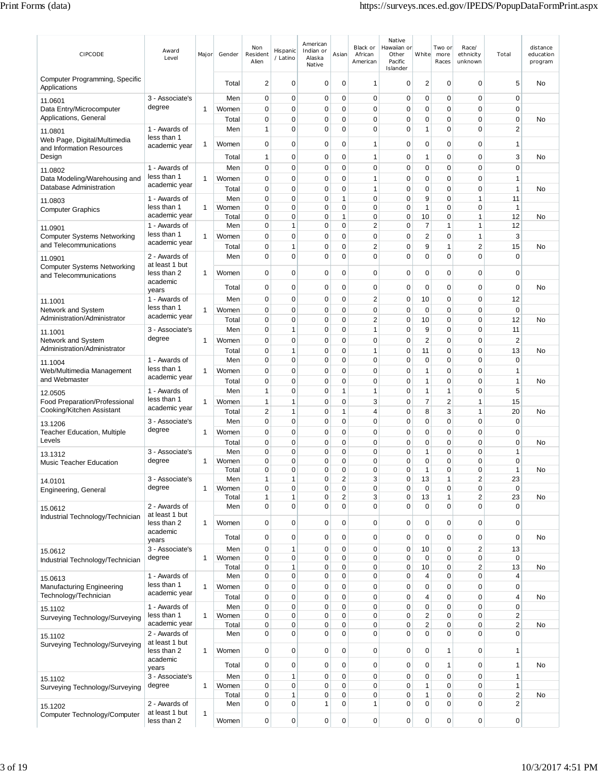| CIPCODE                                                           | Award<br>Level                  | Major        | Gender         | Non<br>Resident<br>Alien | Hispanic<br>/ Latino | American<br>Indian or<br>Alaska<br>Native | Asian                        | Black or<br>African<br>American | Native<br>Hawaiian or<br>Other<br>Pacific<br>Islander | White                                  | Two or<br>more<br>Races | Race/<br>ethnicity<br>unknown | Total                         | distance<br>education<br>program |
|-------------------------------------------------------------------|---------------------------------|--------------|----------------|--------------------------|----------------------|-------------------------------------------|------------------------------|---------------------------------|-------------------------------------------------------|----------------------------------------|-------------------------|-------------------------------|-------------------------------|----------------------------------|
| Computer Programming, Specific<br>Applications                    |                                 |              | Total          | 2                        | 0                    | 0                                         | 0                            | $\mathbf{1}$                    | 0                                                     | $\overline{2}$                         | 0                       | 0                             | 5                             | No                               |
| 11.0601                                                           | 3 - Associate's                 |              | Men            | 0                        | $\mathbf 0$          | 0                                         | 0                            | $\mathbf 0$                     | $\mathbf 0$                                           | 0                                      | 0                       | $\mathbf 0$                   | $\mathbf 0$                   |                                  |
| Data Entry/Microcomputer<br>Applications, General                 | degree                          | $\mathbf{1}$ | Women<br>Total | 0<br>0                   | 0<br>0               | 0<br>0                                    | 0<br>0                       | $\mathbf 0$<br>$\mathbf 0$      | $\mathbf 0$<br>0                                      | 0<br>0                                 | 0<br>0                  | $\mathbf 0$<br>$\mathbf 0$    | $\mathbf 0$<br>$\mathbf 0$    | No                               |
| 11.0801                                                           | 1 - Awards of                   |              | Men            | 1                        | 0                    | 0                                         | 0                            | $\mathbf 0$                     | $\mathbf 0$                                           | 1                                      | 0                       | $\mathbf 0$                   | 2                             |                                  |
| Web Page, Digital/Multimedia                                      | less than 1<br>academic year    | 1            | Women          | 0                        | 0                    | 0                                         | 0                            | $\mathbf{1}$                    | $\mathbf 0$                                           | 0                                      | 0                       | $\mathbf 0$                   | $\mathbf{1}$                  |                                  |
| and Information Resources<br>Design                               |                                 |              | Total          | 1                        | 0                    | 0                                         | 0                            | $\mathbf{1}$                    | $\mathbf 0$                                           | 1                                      | $\mathbf 0$             | $\mathbf 0$                   | 3                             | No                               |
| 11.0802                                                           | 1 - Awards of                   |              | Men            | 0                        | 0                    | 0                                         | 0                            | 0                               | 0                                                     | 0                                      | 0                       | $\mathbf 0$                   | $\mathbf 0$                   |                                  |
| Data Modeling/Warehousing and<br>Database Administration          | less than 1<br>academic year    | $\mathbf{1}$ | Women          | 0                        | 0                    | 0                                         | 0                            | $\mathbf{1}$                    | $\mathbf 0$                                           | 0                                      | 0                       | $\mathbf 0$                   | $\mathbf{1}$                  |                                  |
| 11.0803                                                           | 1 - Awards of                   |              | Total<br>Men   | 0<br>0                   | 0<br>0               | 0<br>0                                    | 0<br>1                       | $\mathbf{1}$<br>$\mathbf 0$     | 0<br>$\mathbf 0$                                      | 0<br>9                                 | 0<br>0                  | $\mathbf 0$<br>$\mathbf{1}$   | $\mathbf{1}$<br>11            | No                               |
| <b>Computer Graphics</b>                                          | less than 1                     | $\mathbf{1}$ | Women          | 0                        | 0                    | 0                                         | 0                            | $\mathbf 0$                     | $\mathbf 0$                                           | $\mathbf{1}$                           | 0                       | $\mathbf 0$                   | $\mathbf{1}$                  |                                  |
|                                                                   | academic year<br>1 - Awards of  |              | Total<br>Men   | 0<br>0                   | 0<br>1               | 0<br>0                                    | 1<br>0                       | $\mathbf 0$<br>2                | $\mathbf 0$<br>$\mathbf 0$                            | 10<br>7                                | 0<br>1                  | 1<br>$\mathbf{1}$             | 12<br>12                      | No                               |
| 11.0901<br><b>Computer Systems Networking</b>                     | less than 1                     | $\mathbf{1}$ | Women          | 0                        | 0                    | 0                                         | 0                            | $\mathbf 0$                     | $\mathbf 0$                                           | $\overline{c}$                         | 0                       | $\mathbf{1}$                  | 3                             |                                  |
| and Telecommunications                                            | academic year                   |              | Total          | 0                        | 1                    | 0                                         | 0                            | 2                               | 0                                                     | 9                                      | 1                       | $\overline{\mathbf{c}}$       | 15                            | No                               |
| 11.0901<br><b>Computer Systems Networking</b>                     | 2 - Awards of<br>at least 1 but |              | Men            | 0                        | 0                    | 0                                         | 0                            | $\mathbf 0$                     | $\mathbf 0$                                           | $\mathbf 0$                            | 0                       | $\mathbf 0$                   | $\mathbf 0$                   |                                  |
| and Telecommunications                                            | less than 2                     | 1            | Women          | 0                        | 0                    | 0                                         | 0                            | $\mathbf 0$                     | $\mathbf 0$                                           | 0                                      | 0                       | $\mathbf 0$                   | $\mathbf 0$                   |                                  |
|                                                                   | academic<br>years               |              | Total          | 0                        | 0                    | 0                                         | 0                            | $\mathbf 0$                     | $\mathbf 0$                                           | 0                                      | 0                       | $\mathbf 0$                   | $\mathbf 0$                   | No                               |
| 11.1001                                                           | 1 - Awards of                   |              | Men            | 0                        | 0                    | 0                                         | 0                            | $\overline{2}$                  | $\mathbf 0$                                           | 10                                     | 0                       | $\mathbf 0$                   | 12                            |                                  |
| Network and System<br>Administration/Administrator                | less than 1<br>academic year    | $\mathbf{1}$ | Women          | 0                        | 0                    | 0                                         | 0                            | $\mathbf 0$                     | $\mathbf 0$                                           | $\mathbf 0$                            | 0                       | $\mathbf 0$                   | $\mathbf 0$                   |                                  |
| 11.1001                                                           | 3 - Associate's                 |              | Total<br>Men   | 0<br>0                   | 0<br>1               | 0<br>0                                    | 0<br>0                       | 2<br>$\mathbf{1}$               | $\mathbf 0$<br>$\mathbf 0$                            | 10<br>9                                | 0<br>0                  | $\mathbf 0$<br>$\mathbf 0$    | 12<br>11                      | No                               |
| Network and System                                                | degree                          | $\mathbf{1}$ | Women          | 0                        | 0                    | 0                                         | 0                            | $\mathbf 0$                     | $\mathbf 0$                                           | $\overline{c}$                         | 0                       | $\mathbf 0$                   | $\overline{c}$                |                                  |
| Administration/Administrator                                      |                                 |              | Total          | 0                        | 1                    | 0                                         | 0                            | 1                               | 0                                                     | 11                                     | 0                       | $\mathbf 0$                   | 13                            | No                               |
| 11.1004<br>Web/Multimedia Management                              | 1 - Awards of<br>less than 1    | 1            | Men<br>Women   | 0<br>0                   | 0<br>0               | 0<br>0                                    | 0<br>0                       | $\mathbf 0$<br>$\mathbf 0$      | $\mathbf 0$<br>$\mathbf 0$                            | 0<br>1                                 | 0<br>0                  | $\mathbf 0$<br>$\mathbf 0$    | $\mathbf 0$<br>$\mathbf{1}$   |                                  |
| and Webmaster                                                     | academic year                   |              | Total          | 0                        | 0                    | 0                                         | 0                            | $\mathbf 0$                     | $\mathbf 0$                                           | $\mathbf{1}$                           | 0                       | $\mathbf 0$                   | $\mathbf{1}$                  | No                               |
| 12.0505                                                           | 1 - Awards of                   |              | Men            | 1                        | 0                    | 0                                         | 1                            | $\mathbf{1}$                    | $\mathbf 0$                                           | 1                                      | 1                       | $\mathbf 0$                   | 5                             |                                  |
| <b>Food Preparation/Professional</b><br>Cooking/Kitchen Assistant | less than 1<br>academic year    | $\mathbf{1}$ | Women          | 1                        | 1                    | 0                                         | 0                            | 3                               | $\mathbf 0$                                           | $\overline{7}$                         | $\overline{2}$          | 1                             | 15                            |                                  |
| 13.1206                                                           | 3 - Associate's                 |              | Total<br>Men   | 2<br>0                   | 1<br>$\mathbf 0$     | 0<br>0                                    | 1<br>0                       | 4<br>$\mathbf 0$                | $\mathbf 0$<br>$\mathbf 0$                            | 8<br>0                                 | 3<br>0                  | $\mathbf{1}$<br>$\mathbf 0$   | 20<br>$\mathbf 0$             | No                               |
| <b>Teacher Education, Multiple</b>                                | degree                          | $\mathbf{1}$ | Women          | 0                        | 0                    | 0                                         | 0                            | $\mathbf 0$                     | $\mathbf 0$                                           | 0                                      | $\mathbf 0$             | $\mathbf 0$                   | $\mathbf 0$                   |                                  |
| Levels                                                            |                                 |              | Total          | 0                        | 0                    | 0                                         | 0                            | $\mathbf 0$                     | $\mathbf 0$                                           | 0                                      | 0                       | $\mathbf 0$                   | $\mathbf 0$                   | No                               |
| 13.1312<br><b>Music Teacher Education</b>                         | 3 - Associate's<br>degree       | 1            | Men<br>Women   | 0<br>0                   | 0<br>0               | 0<br>0                                    | 0<br>0                       | 0<br>0                          | 0<br>0                                                | $\mathbf{1}$<br>0                      | 0<br>0                  | 0<br>0                        | 1<br>0                        |                                  |
|                                                                   |                                 |              | Total          | $\Omega$                 | $\Omega$             | $\Omega$                                  | $\Omega$                     | $\Omega$                        | $\Omega$                                              | $\mathbf{1}$                           | 0                       | $\Omega$                      | 1                             | No                               |
| 14.0101<br>Engineering, General                                   | 3 - Associate's<br>degree       | 1            | Men<br>Women   | 1<br>0                   | 1<br>$\mathbf 0$     | 0<br>0                                    | $\overline{\mathbf{c}}$<br>0 | 3<br>$\mathbf 0$                | $\mathbf 0$<br>$\mathbf 0$                            | 13<br>$\mathbf 0$                      | 1<br>0                  | $\overline{\mathbf{c}}$<br>0  | 23<br>$\mathbf 0$             |                                  |
|                                                                   |                                 |              | Total          | 1                        | 1                    | 0                                         | $\overline{\mathbf{c}}$      | 3                               | $\mathbf 0$                                           | 13                                     | 1                       | $\overline{\mathbf{c}}$       | 23                            | No                               |
| 15.0612                                                           | 2 - Awards of<br>at least 1 but |              | Men            | 0                        | 0                    | 0                                         | 0                            | $\mathbf 0$                     | $\mathbf 0$                                           | 0                                      | 0                       | $\mathbf 0$                   | $\mathbf 0$                   |                                  |
| Industrial Technology/Technician                                  | less than 2                     | $\mathbf{1}$ | Women          | 0                        | 0                    | 0                                         | 0                            | $\mathbf 0$                     | $\mathbf 0$                                           | 0                                      | $\mathbf 0$             | $\mathbf 0$                   | $\mathbf 0$                   |                                  |
|                                                                   | academic<br>years               |              | Total          | 0                        | 0                    | 0                                         | 0                            | $\mathbf 0$                     | $\mathbf 0$                                           | 0                                      | 0                       | $\mathbf 0$                   | $\mathbf 0$                   | No                               |
| 15.0612                                                           | 3 - Associate's                 |              | Men            | 0                        | 1                    | 0                                         | 0                            | $\mathbf 0$                     | $\mathbf 0$                                           | 10                                     | 0                       | $\overline{2}$                | 13                            |                                  |
| Industrial Technology/Technician                                  | degree                          | $\mathbf{1}$ | Women<br>Total | 0<br>0                   | $\mathbf 0$<br>1     | 0<br>0                                    | 0<br>0                       | $\mathbf 0$<br>$\mathbf 0$      | $\mathbf 0$<br>$\mathbf 0$                            | 0<br>10                                | 0<br>0                  | $\mathbf 0$<br>$\overline{2}$ | $\mathbf 0$<br>13             | No                               |
| 15.0613                                                           | 1 - Awards of                   |              | Men            | 0                        | $\mathbf 0$          | 0                                         | 0                            | $\mathbf 0$                     | $\mathbf 0$                                           | 4                                      | 0                       | $\mathbf 0$                   | $\overline{4}$                |                                  |
| <b>Manufacturing Engineering</b><br>Technology/Technician         | less than 1<br>academic year    | $\mathbf{1}$ | Women          | 0                        | 0                    | 0                                         | 0                            | 0                               | 0                                                     | 0                                      | 0                       | 0                             | 0                             |                                  |
| 15.1102                                                           | 1 - Awards of                   |              | Total<br>Men   | 0<br>0                   | 0<br>0               | 0<br>0                                    | 0<br>0                       | $\mathbf 0$<br>$\mathbf 0$      | $\mathbf 0$<br>$\mathbf 0$                            | 4<br>$\mathbf 0$                       | 0<br>0                  | $\mathbf 0$<br>$\mathbf 0$    | $\overline{4}$<br>$\mathbf 0$ | No                               |
| Surveying Technology/Surveying                                    | less than 1                     | $\mathbf{1}$ | Women          | 0                        | 0                    | 0                                         | 0                            | $\mathbf 0$                     | 0                                                     | 2                                      | 0                       | $\mathbf 0$                   | 2                             |                                  |
|                                                                   | academic year<br>2 - Awards of  |              | Total<br>Men   | 0<br>0                   | 0<br>0               | 0<br>0                                    | 0<br>0                       | 0<br>$\mathbf 0$                | 0<br>0                                                | $\overline{\mathbf{c}}$<br>$\mathbf 0$ | 0<br>0                  | $\mathbf 0$<br>0              | $\overline{\mathbf{c}}$<br>0  | No                               |
| 15.1102<br>Surveying Technology/Surveying                         | at least 1 but                  |              |                |                          |                      |                                           |                              |                                 |                                                       |                                        |                         |                               |                               |                                  |
|                                                                   | less than 2<br>academic         | 1            | Women          | 0                        | 0                    | 0                                         | 0                            | $\mathbf 0$                     | $\mathbf 0$                                           | 0                                      | 1                       | $\mathbf 0$                   | $\mathbf{1}$                  |                                  |
|                                                                   | years                           |              | Total          | 0                        | 0                    | 0                                         | 0                            | $\mathbf 0$                     | $\mathbf 0$                                           | 0                                      | 1                       | $\mathbf 0$                   | 1                             | No                               |
| 15.1102<br>Surveying Technology/Surveying                         | 3 - Associate's<br>degree       | $\mathbf{1}$ | Men<br>Women   | 0<br>0                   | 1<br>0               | 0<br>0                                    | 0<br>0                       | $\mathbf 0$<br>$\mathbf 0$      | $\mathbf 0$<br>$\mathbf 0$                            | 0<br>1                                 | 0<br>0                  | $\mathbf 0$<br>$\mathbf 0$    | $\mathbf{1}$<br>1             |                                  |
|                                                                   |                                 |              | Total          | 0                        | 1                    | 0                                         | 0                            | $\mathbf 0$                     | $\mathbf 0$                                           | $\mathbf{1}$                           | 0                       | $\mathbf 0$                   | $\overline{\mathbf{c}}$       | No                               |
| 15.1202<br>Computer Technology/Computer                           | 2 - Awards of<br>at least 1 but | 1            | Men            | 0                        | 0                    | 1                                         | 0                            | 1                               | $\mathbf 0$                                           | 0                                      | 0                       | 0                             | 2                             |                                  |
|                                                                   | less than 2                     |              | Women          | 0                        | 0                    | 0                                         | 0                            | $\mathbf 0$                     | $\pmb{0}$                                             | 0                                      | 0                       | 0                             | 0                             |                                  |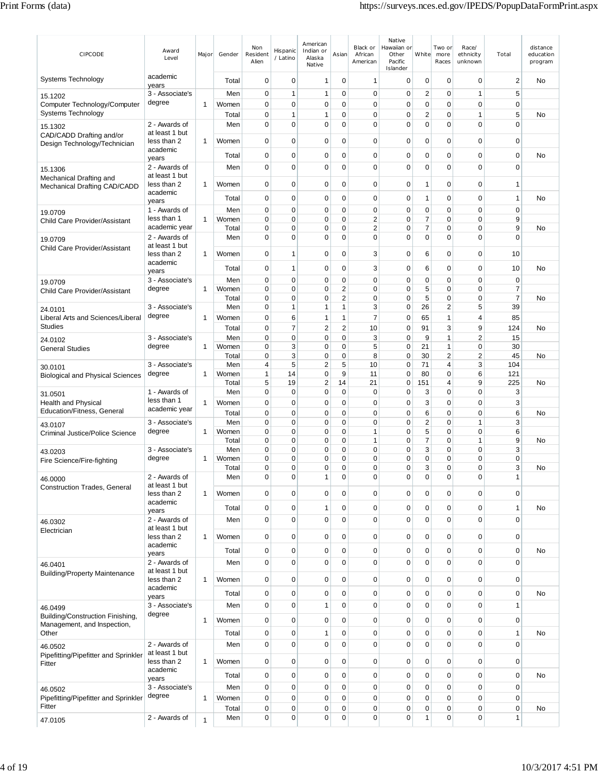| CIPCODE                                                         | Award<br>Level                  | Major        | Gender         | Non<br>Resident<br>Alien | Hispanic<br>/ Latino       | American<br>Indian or<br>Alaska<br>Native | Asian                      | Black or<br>African<br>American  | Native<br>Hawaiian or<br>Other<br>Pacific<br>Islander | White          | Two or<br>more<br>Races       | Race/<br>ethnicity<br>unknown | Total                    | distance<br>education<br>program |
|-----------------------------------------------------------------|---------------------------------|--------------|----------------|--------------------------|----------------------------|-------------------------------------------|----------------------------|----------------------------------|-------------------------------------------------------|----------------|-------------------------------|-------------------------------|--------------------------|----------------------------------|
| <b>Systems Technology</b>                                       | academic<br>years               |              | Total          | 0                        | $\mathbf 0$                | 1                                         | 0                          | 1                                | 0                                                     | 0              | $\mathbf 0$                   | 0                             | $\overline{2}$           | No                               |
| 15.1202                                                         | 3 - Associate's                 |              | Men            | $\mathbf 0$              | $\mathbf{1}$               | $\mathbf{1}$                              | $\mathbf 0$                | $\mathbf 0$                      | 0                                                     | $\overline{c}$ | $\mathbf 0$                   | $\mathbf{1}$                  | 5                        |                                  |
| Computer Technology/Computer                                    | degree                          | 1            | Women          | 0                        | $\mathbf 0$                | 0                                         | 0                          | 0                                | 0                                                     | 0              | 0                             | 0                             | 0                        |                                  |
| Systems Technology                                              |                                 |              | Total          | 0                        | 1                          | 1                                         | $\mathbf 0$                | 0                                | 0                                                     | 2              | $\mathbf 0$                   | 1                             | 5                        | No                               |
| 15.1302<br>CAD/CADD Drafting and/or                             | 2 - Awards of<br>at least 1 but |              | Men            | 0                        | $\mathbf 0$                | 0                                         | $\mathbf 0$                | 0                                | 0                                                     | 0              | 0                             | $\Omega$                      | $\Omega$                 |                                  |
| Design Technology/Technician                                    | less than 2<br>academic         | 1            | Women          | $\mathbf 0$              | $\mathbf 0$                | 0                                         | $\mathbf 0$                | 0                                | 0                                                     | 0              | $\mathbf 0$                   | 0                             | $\mathbf 0$              |                                  |
|                                                                 | years                           |              | Total          | 0                        | 0                          | 0                                         | 0                          | 0                                | 0                                                     | 0              | 0                             | 0                             | 0                        | No                               |
| 15.1306<br>Mechanical Drafting and                              | 2 - Awards of<br>at least 1 but |              | Men            | $\mathbf 0$              | $\mathbf 0$                | 0                                         | $\mathbf 0$                | $\mathbf 0$                      | $\mathbf 0$                                           | 0              | $\mathbf 0$                   | $\mathbf 0$                   | $\mathbf 0$              |                                  |
| Mechanical Drafting CAD/CADD                                    | less than 2<br>academic         | 1            | Women          | $\mathbf 0$              | $\mathbf 0$                | 0                                         | $\mathbf 0$                | 0                                | 0                                                     | 1              | $\mathbf 0$                   | 0                             | 1                        |                                  |
|                                                                 | years                           |              | Total          | $\mathbf 0$              | $\mathbf 0$                | 0                                         | 0                          | 0                                | 0                                                     | 1              | $\mathbf 0$                   | 0                             | $\overline{1}$           | No                               |
| 19.0709                                                         | 1 - Awards of                   |              | Men            | $\mathbf 0$              | $\mathbf 0$                | 0                                         | 0                          | 0                                | 0                                                     | $\mathbf 0$    | $\mathbf 0$                   | 0                             | $\mathbf 0$              |                                  |
| Child Care Provider/Assistant                                   | less than 1<br>academic year    | $\mathbf{1}$ | Women<br>Total | 0<br>0                   | $\mathbf 0$<br>$\mathbf 0$ | 0<br>0                                    | $\mathbf 0$<br>$\mathbf 0$ | $\overline{2}$<br>$\overline{2}$ | 0<br>0                                                | 7<br>7         | $\mathbf 0$<br>$\mathbf 0$    | $\mathbf 0$<br>$\mathbf 0$    | 9<br>9                   | <b>No</b>                        |
|                                                                 | 2 - Awards of                   |              | Men            | $\mathbf 0$              | $\mathbf 0$                | 0                                         | 0                          | $\mathbf 0$                      | 0                                                     | $\mathbf 0$    | $\mathbf 0$                   | $\Omega$                      | $\Omega$                 |                                  |
| 19.0709<br>Child Care Provider/Assistant                        | at least 1 but                  |              |                |                          |                            |                                           |                            |                                  |                                                       |                |                               |                               |                          |                                  |
|                                                                 | less than 2<br>academic         | 1            | Women          | 0                        | 1                          | 0                                         | 0                          | 3                                | 0                                                     | 6              | $\mathbf 0$                   | 0                             | 10                       |                                  |
|                                                                 | years                           |              | Total          | 0                        | 1                          | 0                                         | 0                          | 3                                | 0                                                     | 6              | $\mathbf 0$                   | 0                             | 10                       | No                               |
| 19.0709                                                         | 3 - Associate's                 |              | Men            | 0                        | $\mathbf 0$                | 0                                         | 0                          | 0                                | 0                                                     | 0              | 0                             | 0                             | 0                        |                                  |
| Child Care Provider/Assistant                                   | degree                          | 1            | Women<br>Total | 0<br>0                   | 0<br>0                     | 0<br>0                                    | 2<br>$\overline{2}$        | 0<br>0                           | 0<br>0                                                | 5<br>5         | 0<br>$\mathbf 0$              | 0<br>0                        | 7<br>$\overline{7}$      | No                               |
| 24.0101                                                         | 3 - Associate's                 |              | Men            | 0                        | $\mathbf{1}$               | 1                                         | 1                          | 3                                | 0                                                     | 26             | $\overline{2}$                | 5                             | 39                       |                                  |
| Liberal Arts and Sciences/Liberal                               | degree                          | 1            | Women          | 0                        | 6                          | 1                                         | 1                          | 7                                | 0                                                     | 65             | $\mathbf{1}$                  | $\overline{4}$                | 85                       |                                  |
| <b>Studies</b>                                                  |                                 |              | Total          | 0                        | $\overline{7}$             | $\overline{c}$                            | $\sqrt{2}$                 | 10                               | $\mathbf 0$                                           | 91             | 3                             | 9                             | 124                      | No                               |
| 24.0102                                                         | 3 - Associate's                 |              | Men            | 0                        | $\overline{0}$             | $\mathbf 0$                               | $\mathbf 0$                | 3                                | $\mathbf 0$                                           | 9              | $\mathbf{1}$                  | $\overline{2}$                | 15                       |                                  |
| <b>General Studies</b>                                          | degree                          | $\mathbf{1}$ | Women          | 0                        | 3                          | 0                                         | $\mathbf 0$                | 5                                | 0                                                     | 21             | $\mathbf{1}$                  | 0                             | 30                       |                                  |
|                                                                 |                                 |              | Total          | 0                        | 3                          | 0                                         | 0                          | 8                                | 0                                                     | 30             | $\sqrt{2}$                    | $\overline{2}$                | 45                       | No                               |
| 30.0101                                                         | 3 - Associate's<br>degree       | 1            | Men<br>Women   | 4<br>1                   | 5<br>14                    | 2<br>0                                    | 5<br>9                     | 10<br>11                         | $\mathbf 0$<br>0                                      | 71<br>80       | $\overline{4}$<br>$\mathbf 0$ | 3<br>6                        | 104<br>121               |                                  |
| <b>Biological and Physical Sciences</b>                         |                                 |              | Total          | 5                        | 19                         | 2                                         | 14                         | 21                               | 0                                                     | 151            | 4                             | 9                             | 225                      | No                               |
| 31.0501                                                         | 1 - Awards of                   |              | Men            | 0                        | $\mathbf 0$                | 0                                         | $\mathbf 0$                | $\mathbf 0$                      | 0                                                     | 3              | $\mathbf 0$                   | 0                             | 3                        |                                  |
| <b>Health and Physical</b>                                      | less than 1                     | 1            | Women          | 0                        | 0                          | 0                                         | $\mathbf 0$                | 0                                | 0                                                     | 3              | $\mathbf 0$                   | $\Omega$                      | 3                        |                                  |
| Education/Fitness, General                                      | academic year                   |              | Total          | 0                        | $\mathbf 0$                | 0                                         | $\mathbf 0$                | 0                                | 0                                                     | 6              | $\mathbf 0$                   | $\mathbf 0$                   | 6                        | No                               |
| 43.0107                                                         | 3 - Associate's                 |              | Men            | $\mathbf 0$              | $\mathbf 0$                | 0                                         | $\mathbf 0$                | 0                                | 0                                                     | 2              | $\mathbf 0$                   | 1                             | 3                        |                                  |
| Criminal Justice/Police Science                                 | degree                          | $\mathbf{1}$ | Women          | 0                        | $\mathbf 0$                | $\mathbf 0$                               | $\mathbf 0$                | 1                                | $\mathbf 0$                                           | 5<br>7         | $\mathbf 0$                   | $\mathbf 0$<br>1              | 6<br>9                   |                                  |
| 43.0203                                                         | 3 - Associate's                 |              | Total<br>Men   | 0<br>0                   | $\mathbf 0$<br>$\mathbf 0$ | 0<br>0                                    | 0<br>0                     | 1<br>0                           | 0<br>$\mathbf 0$                                      | 3              | 0<br>$\mathbf 0$              | 0                             | 3                        | No                               |
| Fire Science/Fire-fighting                                      | degree                          | 1            | Women          | 0                        | 0                          | 0                                         | 0                          | 0                                | 0                                                     | 0              | 0                             | $\Omega$                      | 0                        |                                  |
|                                                                 |                                 |              | Total          | 0                        | 0                          | 0                                         | 0                          | 0                                | 0                                                     | 3              | 0                             | 0                             | 3                        | No.                              |
| 46.0000                                                         | 2 - Awards of                   |              | Men            | 0                        | 0                          | 1                                         | 0                          | 0                                | 0                                                     | 0              | 0                             | 0                             | 1                        |                                  |
| <b>Construction Trades, General</b>                             | at least 1 but<br>less than 2   | 1            | Women          | $\mathbf 0$              | $\mathbf 0$                | 0                                         | $\mathbf 0$                | 0                                | $\mathbf 0$                                           | 0              | $\pmb{0}$                     | 0                             | $\mathbf 0$              |                                  |
|                                                                 | academic<br>years               |              | Total          | 0                        | $\mathbf 0$                | 1                                         | $\mathbf 0$                | 0                                | 0                                                     | $\mathbf 0$    | $\pmb{0}$                     | 0                             | $\mathbf{1}$             | No                               |
| 46.0302                                                         | 2 - Awards of                   |              | Men            | $\mathbf 0$              | $\overline{0}$             | 0                                         | $\mathbf 0$                | $\mathbf 0$                      | $\mathbf 0$                                           | $\mathbf 0$    | $\mathbf 0$                   | 0                             | $\mathbf 0$              |                                  |
| Electrician                                                     | at least 1 but<br>less than 2   | 1            | Women          | 0                        | $\mathbf 0$                | 0                                         | $\mathbf 0$                | 0                                | 0                                                     | $\mathbf 0$    | $\mathbf 0$                   | 0                             | $\mathbf 0$              |                                  |
|                                                                 | academic                        |              | Total          | $\mathbf 0$              | $\mathbf 0$                | 0                                         | 0                          | 0                                | 0                                                     | 0              | $\mathbf 0$                   | 0                             | $\mathbf 0$              | No                               |
|                                                                 | years<br>2 - Awards of          |              | Men            | $\mathbf 0$              | $\mathbf 0$                | 0                                         | $\mathbf 0$                | $\mathbf 0$                      | 0                                                     | 0              | $\mathbf 0$                   | $\mathbf 0$                   | $\mathbf 0$              |                                  |
| 46.0401<br><b>Building/Property Maintenance</b>                 | at least 1 but                  |              |                |                          |                            |                                           |                            |                                  |                                                       |                |                               |                               |                          |                                  |
|                                                                 | less than 2<br>academic         | $\mathbf{1}$ | Women          | $\mathbf 0$              | $\mathbf 0$                | $\mathbf 0$                               | $\mathbf 0$                | 0                                | $\mathbf 0$                                           | $\mathbf 0$    | $\mathbf 0$                   | 0                             | $\mathbf 0$              |                                  |
|                                                                 | years                           |              | Total          | $\mathbf 0$              | $\mathbf 0$                | 0                                         | 0                          | 0                                | 0                                                     | 0              | $\pmb{0}$                     | 0                             | $\mathbf 0$              | No                               |
| 46.0499                                                         | 3 - Associate's<br>degree       |              | Men            | $\mathbf 0$              | $\mathbf 0$                | 1                                         | $\mathbf 0$                | 0                                | 0                                                     | $\mathbf 0$    | $\mathbf 0$                   | 0                             | $\mathbf{1}$             |                                  |
| Building/Construction Finishing,<br>Management, and Inspection, |                                 | 1            | Women          | $\mathbf 0$              | $\mathbf 0$                | 0                                         | $\mathbf 0$                | 0                                | $\mathbf 0$                                           | $\mathbf 0$    | $\mathbf 0$                   | 0                             | $\mathbf 0$              |                                  |
| Other                                                           |                                 |              | Total          | $\mathbf 0$              | $\mathbf 0$                | 1                                         | $\mathbf 0$                | 0                                | 0                                                     | 0              | $\mathbf 0$                   | 0                             | $\mathbf{1}$             | No                               |
| 46.0502                                                         | 2 - Awards of                   |              | Men            | $\mathbf 0$              | $\mathbf 0$                | 0                                         | $\Omega$                   | 0                                | $\mathbf 0$                                           | 0              | $\mathbf 0$                   | 0                             | $\mathbf 0$              |                                  |
| Pipefitting/Pipefitter and Sprinkler<br>Fitter                  | at least 1 but<br>less than 2   | 1            | Women          | $\mathbf 0$              | $\mathbf 0$                | 0                                         | $\mathbf 0$                | 0                                | $\mathbf 0$                                           | $\mathbf 0$    | $\mathbf 0$                   | 0                             | $\mathbf 0$              |                                  |
|                                                                 | academic                        |              | Total          | $\mathbf 0$              | $\mathbf 0$                | 0                                         | 0                          | 0                                | 0                                                     | 0              | $\pmb{0}$                     | 0                             | $\mathbf 0$              | No                               |
|                                                                 | years                           |              |                |                          |                            |                                           |                            |                                  |                                                       |                |                               |                               |                          |                                  |
| 46.0502                                                         | 3 - Associate's<br>degree       |              | Men            | $\mathbf 0$              | $\mathbf 0$                | 0                                         | 0                          | 0                                | 0                                                     | 0              | 0                             | 0                             | $\mathbf 0$              |                                  |
| Pipefitting/Pipefitter and Sprinkler<br>Fitter                  |                                 | $\mathbf{1}$ | Women<br>Total | $\mathbf 0$<br>0         | $\mathbf 0$<br>$\pmb{0}$   | 0<br>0                                    | $\mathbf 0$<br>0           | 0<br>0                           | 0<br>0                                                | 0<br>0         | 0<br>0                        | 0<br>$\mathbf 0$              | $\mathbf 0$<br>$\pmb{0}$ | No                               |
|                                                                 | 2 - Awards of                   |              | Men            | 0                        | $\mathbf 0$                | 0                                         | $\pmb{0}$                  | $\mathbf 0$                      | 0                                                     | 1              | $\pmb{0}$                     | $\mathbf 0$                   | 1                        |                                  |
| 47.0105                                                         |                                 | $\mathbf{1}$ |                |                          |                            |                                           |                            |                                  |                                                       |                |                               |                               |                          |                                  |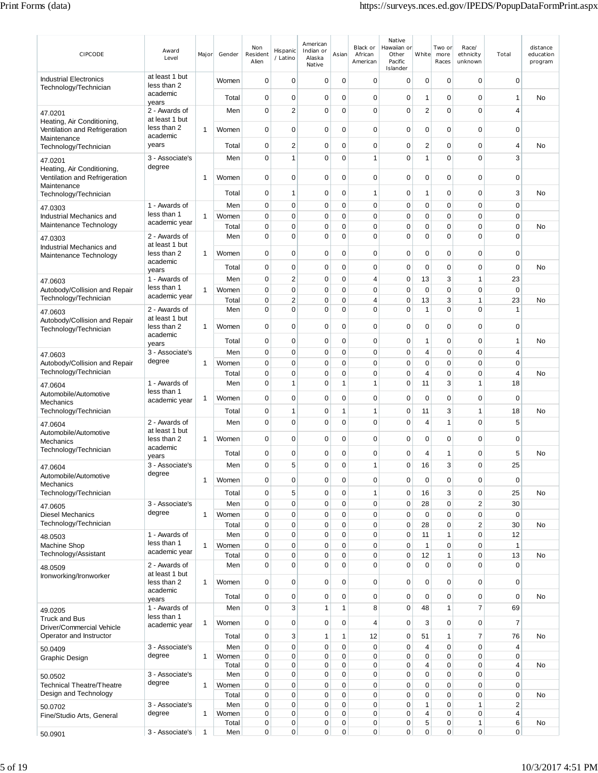| CIPCODE                                                     | Award<br>Level                  | Major        | Gender         | Non<br>Resident<br>Alien   | Hispanic<br>/ Latino       | American<br>Indian or<br>Alaska<br>Native | Asian                      | Black or<br>African<br>American | Native<br>Hawaiian or<br>Other<br>Pacific<br>Islander | White                         | Two or<br>more<br>Races     | Race/<br>ethnicity<br>unknown | Total                      | distance<br>education<br>program |
|-------------------------------------------------------------|---------------------------------|--------------|----------------|----------------------------|----------------------------|-------------------------------------------|----------------------------|---------------------------------|-------------------------------------------------------|-------------------------------|-----------------------------|-------------------------------|----------------------------|----------------------------------|
| <b>Industrial Electronics</b><br>Technology/Technician      | at least 1 but<br>less than 2   |              | Women          | 0                          | 0                          | 0                                         | 0                          | 0                               | 0                                                     | 0                             | 0                           | 0                             | 0                          |                                  |
|                                                             | academic<br>years               |              | Total          | 0                          | 0                          | 0                                         | 0                          | $\mathbf 0$                     | 0                                                     | $\mathbf{1}$                  | 0                           | 0                             | 1                          | No                               |
| 47.0201<br>Heating, Air Conditioning.                       | 2 - Awards of<br>at least 1 but |              | Men            | $\mathbf 0$                | $\overline{2}$             | 0                                         | $\mathbf 0$                | $\mathbf 0$                     | 0                                                     | $\overline{2}$                | 0                           | 0                             | $\overline{4}$             |                                  |
| Ventilation and Refrigeration<br>Maintenance                | less than 2<br>academic         | 1            | Women          | $\mathbf 0$                | 0                          | 0                                         | 0                          | $\mathbf 0$                     | 0                                                     | $\mathbf 0$                   | 0                           | 0                             | $\mathbf 0$                |                                  |
| Technology/Technician                                       | years                           |              | Total          | 0                          | $\overline{\mathbf{c}}$    | 0                                         | 0                          | $\mathbf 0$                     | 0                                                     | $\overline{2}$                | 0                           | 0                             | 4                          | No                               |
| 47.0201                                                     | 3 - Associate's                 |              | Men            | $\mathbf 0$                | 1                          | $\mathbf 0$                               | $\mathbf 0$                | 1                               | 0                                                     | $\mathbf{1}$                  | 0                           | $\Omega$                      | 3                          |                                  |
| Heating, Air Conditioning.<br>Ventilation and Refrigeration | degree                          | 1            | Women          | 0                          | 0                          | 0                                         | 0                          | 0                               | 0                                                     | 0                             | 0                           | 0                             | 0                          |                                  |
| Maintenance<br>Technology/Technician                        |                                 |              | Total          | $\mathbf 0$                | 1                          | 0                                         | $\mathbf 0$                | 1                               | 0                                                     | $\mathbf{1}$                  | 0                           | 0                             | 3                          | No                               |
| 47.0303                                                     | 1 - Awards of                   |              | Men            | 0                          | 0                          | 0                                         | $\mathbf 0$                | $\mathbf 0$                     | 0                                                     | 0                             | 0                           | 0                             | $\mathbf 0$                |                                  |
| Industrial Mechanics and                                    | less than 1<br>academic year    | 1            | Women          | $\mathbf 0$                | 0                          | $\mathbf 0$                               | 0                          | $\mathbf 0$                     | 0                                                     | $\mathbf 0$                   | $\mathbf 0$                 | 0                             | $\mathbf 0$                |                                  |
| Maintenance Technology                                      | 2 - Awards of                   |              | Total<br>Men   | $\mathbf 0$<br>0           | 0<br>$\mathbf 0$           | $\mathbf 0$<br>0                          | 0<br>0                     | $\mathbf 0$<br>$\mathbf 0$      | 0<br>0                                                | $\mathbf 0$<br>$\mathbf 0$    | 0<br>0                      | 0<br>$\Omega$                 | $\mathbf 0$<br>$\mathbf 0$ | No                               |
| 47.0303<br>Industrial Mechanics and                         | at least 1 but                  |              |                |                            |                            |                                           |                            |                                 |                                                       |                               |                             |                               |                            |                                  |
| Maintenance Technology                                      | less than 2<br>academic         | 1            | Women          | $\mathbf 0$                | 0                          | 0                                         | $\mathbf 0$                | $\mathbf 0$                     | $\mathbf 0$                                           | $\mathbf 0$                   | 0                           | 0                             | 0                          |                                  |
|                                                             | years                           |              | Total          | $\mathbf 0$                | $\mathbf 0$                | $\mathbf 0$                               | 0                          | $\mathbf 0$                     | 0                                                     | $\mathbf 0$                   | 0                           | 0                             | $\mathbf 0$                | No                               |
| 47.0603                                                     | 1 - Awards of<br>less than 1    |              | Men            | $\mathbf 0$                | $\overline{2}$             | 0                                         | $\mathbf 0$                | $\overline{4}$                  | 0                                                     | 13                            | 3                           | $\mathbf{1}$                  | 23                         |                                  |
| Autobody/Collision and Repair<br>Technology/Technician      | academic year                   | 1            | Women          | $\mathbf 0$                | $\mathbf 0$                | 0                                         | $\mathbf 0$                | $\mathbf 0$                     | $\mathbf 0$                                           | $\mathbf 0$                   | 0                           | 0<br>1                        | $\mathbf 0$                |                                  |
| 47.0603                                                     | 2 - Awards of                   |              | Total<br>Men   | 0<br>$\mathbf 0$           | $\overline{c}$<br>0        | 0<br>0                                    | 0<br>$\mathbf 0$           | 4<br>$\mathbf 0$                | 0<br>0                                                | 13<br>$\mathbf{1}$            | 3<br>0                      | 0                             | 23<br>1                    | No                               |
| Autobody/Collision and Repair                               | at least 1 but                  |              |                |                            |                            |                                           |                            |                                 |                                                       |                               |                             |                               |                            |                                  |
| Technology/Technician                                       | less than 2<br>academic         | 1            | Women          | $\mathbf 0$                | $\mathbf 0$                | 0                                         | $\mathbf 0$                | $\mathbf 0$                     | 0                                                     | $\mathbf 0$                   | 0                           | 0                             | $\pmb{0}$                  |                                  |
|                                                             | years                           |              | Total          | $\mathbf 0$                | 0                          | 0                                         | 0                          | $\mathbf 0$                     | 0                                                     | $\mathbf{1}$                  | 0                           | 0                             | 1                          | No                               |
| 47.0603                                                     | 3 - Associate's<br>degree       |              | Men            | $\mathbf 0$                | 0                          | 0                                         | $\mathbf 0$                | $\mathbf 0$                     | 0                                                     | 4                             | 0                           | 0                             | 4                          |                                  |
| Autobody/Collision and Repair<br>Technology/Technician      |                                 | 1            | Women<br>Total | 0<br>$\mathbf 0$           | 0<br>$\mathbf 0$           | 0<br>0                                    | $\mathbf 0$<br>$\mathbf 0$ | $\mathbf 0$<br>$\mathbf 0$      | 0<br>$\mathbf 0$                                      | 0<br>4                        | $\mathbf 0$<br>0            | 0<br>0                        | $\mathbf 0$<br>4           | No                               |
| 47.0604                                                     | 1 - Awards of                   |              | Men            | $\mathbf 0$                | 1                          | 0                                         | 1                          | 1                               | 0                                                     | 11                            | 3                           | 1                             | 18                         |                                  |
| Automobile/Automotive                                       | less than 1<br>academic year    | 1            | Women          | $\mathbf 0$                | $\mathbf 0$                | 0                                         | 0                          | $\mathbf 0$                     | 0                                                     | $\mathbf 0$                   | 0                           | 0                             | 0                          |                                  |
| Mechanics<br>Technology/Technician                          |                                 |              | Total          | $\mathbf 0$                | 1                          | $\mathbf 0$                               | 1                          | 1                               | 0                                                     | 11                            | 3                           | 1                             | 18                         | No                               |
| 47.0604                                                     | 2 - Awards of                   |              | Men            | 0                          | 0                          | 0                                         | 0                          | $\mathbf 0$                     | 0                                                     | $\overline{4}$                | 1                           | 0                             | 5                          |                                  |
| Automobile/Automotive                                       | at least 1 but<br>less than 2   | 1            | Women          | $\mathbf 0$                | $\mathbf 0$                | 0                                         | $\mathbf 0$                | $\mathbf 0$                     | 0                                                     | $\mathbf 0$                   | 0                           | 0                             | 0                          |                                  |
| Mechanics<br>Technology/Technician                          | academic                        |              | Total          | 0                          | 0                          | 0                                         | 0                          | 0                               | 0                                                     | 4                             | 1                           | 0                             | 5                          | No                               |
| 47.0604                                                     | years<br>3 - Associate's        |              | Men            | 0                          | 5                          | 0                                         | 0                          | $\mathbf{1}$                    | 0                                                     | 16                            | 3                           | 0                             | 25                         |                                  |
| Automobile/Automotive<br>Mechanics                          | degree                          | 1            | Women          | $\mathbf 0$                | 0                          | 0                                         | $\mathbf 0$                | 0                               | 0                                                     | $\mathbf 0$                   | 0                           | 0                             | $\mathbf 0$                |                                  |
| Technology/Technician                                       |                                 |              | Total          | $\mathbf 0$                | 5                          | 0                                         | $\mathbf 0$                | $\mathbf{1}$                    | 0                                                     | 16                            | 3                           | 0                             | 25                         | No                               |
| 47.0605                                                     | 3 - Associate's                 |              | Men            | $\mathbf 0$                | $\mathbf 0$                | 0                                         | $\mathbf 0$                | $\mathbf 0$                     | 0                                                     | 28                            | $\mathbf 0$                 | $\overline{2}$                | 30                         |                                  |
| <b>Diesel Mechanics</b><br>Technology/Technician            | degree                          | $\mathbf{1}$ | Women          | $\mathbf 0$                | $\mathbf 0$<br>$\mathbf 0$ | 0                                         | $\mathbf 0$                | $\mathbf 0$                     | $\mathbf 0$<br>$\mathbf 0$                            | $\mathbf 0$<br>28             | $\mathbf 0$                 | 0<br>2                        | $\mathbf 0$<br>30          |                                  |
| 48.0503                                                     | 1 - Awards of                   |              | Total<br>Men   | $\mathbf 0$<br>$\mathbf 0$ | $\mathbf 0$                | 0<br>0                                    | $\mathbf 0$<br>$\mathbf 0$ | $\mathbf 0$<br>$\mathbf 0$      | $\mathbf 0$                                           | 11                            | $\mathbf 0$<br>$\mathbf{1}$ | 0                             | 12                         | No                               |
| Machine Shop                                                | less than 1                     | 1            | Women          | $\mathbf 0$                | 0                          | 0                                         | $\mathbf 0$                | $\mathbf 0$                     | 0                                                     | $\mathbf{1}$                  | $\mathbf 0$                 | 0                             | $\mathbf{1}$               |                                  |
| Technology/Assistant                                        | academic year                   |              | Total          | $\mathbf 0$                | $\mathbf 0$                | 0                                         | $\mathbf 0$                | $\mathbf 0$                     | 0                                                     | 12                            | 1                           | 0                             | 13                         | No                               |
| 48.0509<br>Ironworking/Ironworker                           | 2 - Awards of<br>at least 1 but |              | Men            | $\mathbf 0$                | $\mathbf 0$                | $\mathbf 0$                               | $\mathbf 0$                | $\mathbf 0$                     | $\mathbf 0$                                           | $\mathbf 0$                   | $\mathbf 0$                 | $\mathbf 0$                   | $\pmb{0}$                  |                                  |
|                                                             | less than 2<br>academic         | 1            | Women          | $\mathbf 0$                | 0                          | 0                                         | $\mathbf 0$                | $\mathbf 0$                     | 0                                                     | $\mathbf 0$                   | 0                           | 0                             | 0                          |                                  |
|                                                             | years                           |              | Total          | 0                          | $\mathbf 0$                | 0                                         | $\mathbf 0$                | $\mathbf 0$                     | 0                                                     | 0                             | 0                           | 0                             | $\mathbf 0$                | No                               |
| 49.0205<br><b>Truck and Bus</b>                             | 1 - Awards of<br>less than 1    |              | Men            | $\mathbf 0$                | 3                          | 1                                         | $\mathbf{1}$               | 8                               | $\mathbf 0$                                           | 48                            | 1                           | $\overline{7}$                | 69                         |                                  |
| Driver/Commercial Vehicle                                   | academic year                   | 1            | Women          | $\mathbf 0$                | 0                          | 0                                         | $\mathbf 0$                | $\overline{4}$                  | $\mathbf 0$                                           | 3                             | $\mathbf 0$                 | 0                             | $\overline{7}$             |                                  |
| Operator and Instructor                                     |                                 |              | Total          | $\mathbf 0$                | 3                          | 1                                         | $\mathbf{1}$               | 12                              | 0                                                     | 51                            | 1                           | $\overline{7}$                | 76                         | No                               |
| 50.0409                                                     | 3 - Associate's<br>degree       | $\mathbf{1}$ | Men<br>Women   | $\mathbf 0$<br>0           | $\mathbf 0$<br>0           | 0<br>0                                    | $\mathbf 0$<br>$\mathbf 0$ | $\mathbf 0$<br>0                | $\mathbf 0$<br>0                                      | $\overline{4}$<br>$\mathbf 0$ | $\mathbf 0$<br>0            | $\mathbf 0$<br>0              | 4<br>$\mathbf 0$           |                                  |
| Graphic Design                                              |                                 |              | Total          | 0                          | $\mathbf 0$                | 0                                         | 0                          | 0                               | 0                                                     | $\overline{4}$                | 0                           | 0                             | 4                          | No                               |
| 50.0502                                                     | 3 - Associate's<br>degree       |              | Men            | $\mathbf 0$                | 0                          | 0                                         | $\mathbf 0$                | $\mathbf 0$                     | 0                                                     | $\mathbf 0$                   | 0                           | 0                             | $\mathbf 0$                |                                  |
| <b>Technical Theatre/Theatre</b><br>Design and Technology   |                                 | $\mathbf{1}$ | Women<br>Total | $\mathbf 0$<br>$\mathbf 0$ | $\mathbf 0$<br>$\mathbf 0$ | 0<br>0                                    | $\mathbf 0$<br>$\mathbf 0$ | $\mathbf 0$<br>$\mathbf 0$      | 0<br>$\mathbf 0$                                      | $\mathbf 0$<br>$\pmb{0}$      | $\mathbf 0$<br>$\mathbf 0$  | 0<br>$\overline{0}$           | $\mathbf 0$<br>$\pmb{0}$   | No                               |
| 50.0702                                                     | 3 - Associate's                 |              | Men            | $\mathbf 0$                | $\mathbf 0$                | 0                                         | $\pmb{0}$                  | $\pmb{0}$                       | 0                                                     | $\mathbf{1}$                  | 0                           | $\mathbf{1}$                  | $\overline{\mathbf{c}}$    |                                  |
| Fine/Studio Arts, General                                   | degree                          | 1            | Women          | $\mathbf 0$                | 0                          | 0                                         | $\mathbf 0$                | $\mathbf 0$                     | 0                                                     | $\overline{4}$                | 0                           | 0                             | 4                          |                                  |
| 50.0901                                                     | 3 - Associate's                 | $\mathbf{1}$ | Total<br>Men   | $\mathbf 0$<br>$\mathbf 0$ | $\mathbf 0$<br>$\mathbf 0$ | 0<br>0                                    | 0<br>0                     | $\mathbf 0$<br>0                | 0<br>0                                                | 5<br>$\mathbf 0$              | 0<br>0                      | 1<br>0                        | 6<br>0                     | No                               |
|                                                             |                                 |              |                |                            |                            |                                           |                            |                                 |                                                       |                               |                             |                               |                            |                                  |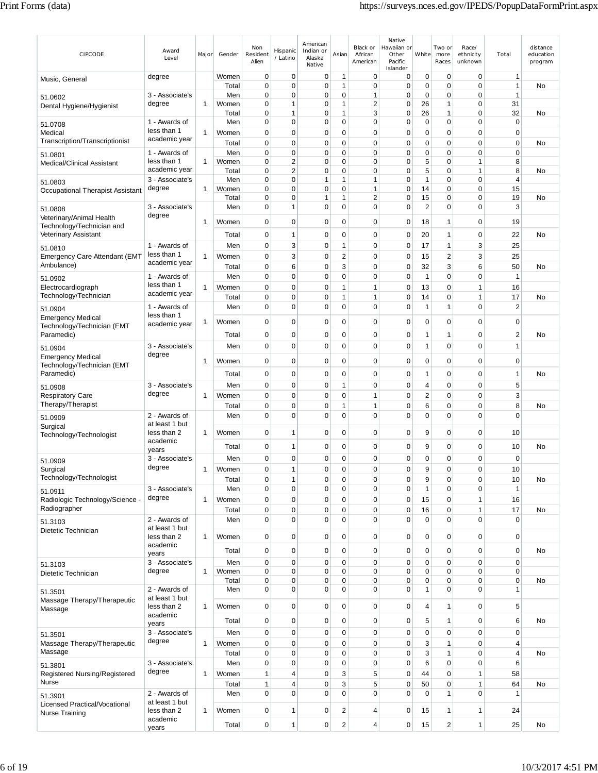| CIPCODE                                                | Award<br>Level                | Major        | Gender         | Non<br>Resident<br>Alien | Hispanic<br>/ Latino | American<br>Indian or<br>Alaska<br>Native | Asian                   | Black or<br>African<br>American | Native<br>Hawaiian or<br>Other<br>Pacific<br>Islander | White                      | Two or<br>more<br>Races    | Race/<br>ethnicity<br>unknown | Total                      | distance<br>education<br>program |
|--------------------------------------------------------|-------------------------------|--------------|----------------|--------------------------|----------------------|-------------------------------------------|-------------------------|---------------------------------|-------------------------------------------------------|----------------------------|----------------------------|-------------------------------|----------------------------|----------------------------------|
| Music, General                                         | degree                        |              | Women          | $\mathbf 0$              | 0                    | 0                                         | 1                       | 0                               | 0                                                     | 0                          | 0                          | 0                             | 1                          |                                  |
| 51.0602                                                | 3 - Associate's               |              | Total<br>Men   | $\mathbf 0$<br>0         | 0<br>0               | $\mathbf 0$<br>0                          | 1<br>0                  | 0<br>1                          | 0<br>0                                                | $\mathbf 0$<br>0           | $\mathbf 0$<br>0           | 0<br>0                        | $\mathbf{1}$<br>1          | No                               |
| Dental Hygiene/Hygienist                               | degree                        | 1            | Women          | 0                        | 1                    | 0                                         | 1                       | 2                               | 0                                                     | 26                         | 1                          | 0                             | 31                         |                                  |
|                                                        |                               |              | Total          | 0                        | 1                    | 0                                         | 1                       | 3                               | 0                                                     | 26                         | 1                          | 0                             | 32                         | No                               |
| 51.0708                                                | 1 - Awards of<br>less than 1  |              | Men            | 0                        | 0                    | 0                                         | 0                       | 0                               | 0                                                     | 0                          | 0                          | 0                             | $\mathbf 0$                |                                  |
| Medical<br>Transcription/Transcriptionist              | academic year                 | 1            | Women          | $\mathbf 0$              | 0                    | 0                                         | 0                       | 0                               | $\mathbf 0$                                           | 0                          | $\mathbf 0$                | $\mathbf 0$                   | $\mathbf 0$                |                                  |
|                                                        | 1 - Awards of                 |              | Total<br>Men   | 0<br>$\mathbf 0$         | 0<br>0               | 0<br>0                                    | 0<br>0                  | 0<br>0                          | 0<br>0                                                | 0<br>$\mathbf 0$           | $\mathbf 0$<br>$\mathbf 0$ | 0<br>0                        | $\mathbf 0$<br>$\mathbf 0$ | No                               |
| 51.0801<br><b>Medical/Clinical Assistant</b>           | less than 1                   | 1            | Women          | 0                        | $\overline{2}$       | $\mathbf 0$                               | 0                       | 0                               | 0                                                     | 5                          | 0                          | 1                             | 8                          |                                  |
|                                                        | academic year                 |              | Total          | 0                        | $\overline{2}$       | 0                                         | 0                       | 0                               | 0                                                     | 5                          | 0                          | 1                             | 8                          | No                               |
| 51.0803                                                | 3 - Associate's               |              | Men            | $\mathbf 0$              | 0                    | 1                                         | 1                       | 1                               | $\mathbf 0$                                           | $\mathbf{1}$               | $\mathbf 0$                | $\mathbf 0$                   | 4                          |                                  |
| Occupational Therapist Assistant                       | degree                        | 1            | Women<br>Total | 0<br>0                   | 0<br>0               | 0<br>1                                    | 0<br>1                  | 1<br>2                          | 0<br>0                                                | 14<br>15                   | 0<br>0                     | 0<br>0                        | 15<br>19                   | No                               |
| 51.0808                                                | 3 - Associate's               |              | Men            | 0                        | 1                    | 0                                         | 0                       | 0                               | 0                                                     | $\overline{2}$             | 0                          | 0                             | 3                          |                                  |
| Veterinary/Animal Health                               | degree                        |              |                |                          |                      |                                           |                         |                                 |                                                       |                            |                            |                               |                            |                                  |
| Technology/Technician and                              |                               | 1            | Women          | $\mathbf 0$              | 0                    | $\mathbf 0$                               | 0                       | 0                               | $\pmb{0}$                                             | 18                         | 1                          | 0                             | 19                         |                                  |
| Veterinary Assistant                                   |                               |              | Total          | 0                        | 1                    | 0                                         | 0                       | 0                               | 0                                                     | 20                         | 1                          | 0                             | 22                         | No                               |
| 51.0810                                                | 1 - Awards of<br>less than 1  |              | Men            | 0                        | 3                    | 0                                         | 1                       | 0                               | 0                                                     | 17                         | 1                          | 3                             | 25                         |                                  |
| <b>Emergency Care Attendant (EMT</b><br>Ambulance)     | academic year                 | 1            | Women          | $\mathbf 0$              | 3                    | 0                                         | $\overline{2}$          | 0                               | $\mathbf 0$                                           | 15                         | $\overline{2}$             | 3                             | 25                         |                                  |
|                                                        | 1 - Awards of                 |              | Total<br>Men   | $\mathbf 0$<br>0         | 6<br>0               | $\mathbf 0$<br>0                          | 3<br>0                  | 0<br>0                          | 0<br>0                                                | 32<br>$\mathbf{1}$         | 3<br>$\mathbf 0$           | 6<br>0                        | 50<br>1                    | No                               |
| 51.0902<br>Electrocardiograph                          | less than 1                   | 1            | Women          | 0                        | 0                    | 0                                         | 1                       | 1                               | 0                                                     | 13                         | 0                          | 1                             | 16                         |                                  |
| Technology/Technician                                  | academic year                 |              | Total          | 0                        | 0                    | 0                                         | 1                       | 1                               | $\mathbf 0$                                           | 14                         | 0                          | 1                             | 17                         | No                               |
| 51.0904                                                | 1 - Awards of                 |              | Men            | 0                        | 0                    | 0                                         | 0                       | 0                               | $\mathbf 0$                                           | $\overline{1}$             | 1                          | $\mathbf 0$                   | $\overline{2}$             |                                  |
| <b>Emergency Medical</b>                               | less than 1                   |              |                |                          | 0                    |                                           |                         | 0                               | 0                                                     |                            | 0                          | 0                             | $\mathbf 0$                |                                  |
| Technology/Technician (EMT                             | academic year                 | 1            | Women          | 0                        |                      | 0                                         | 0                       |                                 |                                                       | 0                          |                            |                               |                            |                                  |
| Paramedic)                                             |                               |              | Total          | $\mathbf 0$              | 0                    | 0                                         | 0                       | 0                               | 0                                                     | -1                         | 1                          | 0                             | $\overline{2}$             | No                               |
| 51.0904                                                | 3 - Associate's<br>degree     |              | Men            | 0                        | 0                    | 0                                         | 0                       | 0                               | 0                                                     | $\overline{1}$             | 0                          | 0                             | $\mathbf{1}$               |                                  |
| <b>Emergency Medical</b><br>Technology/Technician (EMT |                               | 1            | Women          | $\mathbf 0$              | 0                    | $\mathbf 0$                               | 0                       | 0                               | $\mathbf 0$                                           | 0                          | 0                          | 0                             | $\mathbf 0$                |                                  |
| Paramedic)                                             |                               |              | Total          | $\mathbf 0$              | 0                    | $\mathbf 0$                               | 0                       | 0                               | 0                                                     | $\mathbf{1}$               | 0                          | 0                             | $\mathbf{1}$               | No                               |
| 51.0908                                                | 3 - Associate's               |              | Men            | 0                        | 0                    | 0                                         | 1                       | 0                               | 0                                                     | $\overline{4}$             | 0                          | 0                             | 5                          |                                  |
| <b>Respiratory Care</b>                                | degree                        | 1            | Women          | $\mathbf 0$              | 0                    | $\mathbf 0$                               | 0                       | 1                               | $\mathbf 0$                                           | $\overline{2}$             | $\mathbf 0$                | 0                             | 3                          |                                  |
| Therapy/Therapist                                      |                               |              | Total          | 0                        | 0                    | 0                                         | 1                       | 1                               | 0                                                     | 6                          | 0                          | 0                             | 8                          | No                               |
| 51.0909                                                | 2 - Awards of                 |              | Men            | $\mathbf 0$              | $\overline{0}$       | $\mathbf 0$                               | 0                       | 0                               | $\mathbf 0$                                           | $\mathbf 0$                | $\mathbf 0$                | 0                             | $\mathbf 0$                |                                  |
| Surgical                                               | at least 1 but<br>less than 2 | -1           | Women          | $\mathbf 0$              | 1                    | 0                                         | 0                       | 0                               | 0                                                     | 9                          | $\mathbf 0$                | 0                             | 10                         |                                  |
| Technology/Technologist                                | academic                      |              |                |                          |                      |                                           |                         |                                 |                                                       |                            |                            |                               |                            |                                  |
|                                                        | years                         |              | Total          | 0                        | 1                    | 0                                         | 0                       | 0                               | 0                                                     | 9                          | 0                          | 0                             | 10                         | No                               |
| 51.0909                                                | 3 - Associate's<br>degree     |              | Men            | 0                        | 0<br>1               | 0                                         | 0                       | 0                               | 0                                                     | 0                          | 0                          | 0                             | $\mathbf 0$                |                                  |
| Surgical<br>Technology/Technologist                    |                               | 1            | Women<br>Total | 0<br>$\pmb{0}$           | 1                    | $\Omega$<br>0                             | $\Omega$<br>$\pmb{0}$   | $\Omega$<br>0                   | 0<br>0                                                | 9<br>9                     | $\Omega$<br>0              | $\Omega$<br>0                 | 10<br>10                   | No                               |
| 51.0911                                                | 3 - Associate's               |              | Men            | $\mathbf 0$              | $\mathbf 0$          | $\mathbf 0$                               | 0                       | $\mathbf 0$                     | $\mathbf 0$                                           | $\mathbf{1}$               | 0                          | $\overline{0}$                | $\overline{1}$             |                                  |
| Radiologic Technology/Science -                        | degree                        | $\mathbf{1}$ | Women          | $\mathbf 0$              | 0                    | 0                                         | $\mathbf 0$             | 0                               | 0                                                     | 15                         | 0                          | 1                             | 16                         |                                  |
| Radiographer                                           |                               |              | Total          | $\mathbf 0$              | $\mathbf 0$          | 0                                         | 0                       | 0                               | $\mathbf 0$                                           | 16                         | 0                          | 1                             | 17                         | No                               |
| 51.3103                                                | 2 - Awards of                 |              | Men            | $\mathbf 0$              | $\mathbf 0$          | $\mathbf 0$                               | $\overline{0}$          | $\mathbf 0$                     | $\mathbf 0$                                           | $\mathbf 0$                | 0                          | $\overline{0}$                | $\pmb{0}$                  |                                  |
| Dietetic Technician                                    | at least 1 but<br>less than 2 | 1            | Women          | $\mathbf 0$              | $\overline{0}$       | 0                                         | 0                       | 0                               | $\mathbf 0$                                           | $\mathbf 0$                | $\mathbf 0$                | 0                             | $\mathbf 0$                |                                  |
|                                                        | academic                      |              |                |                          |                      |                                           |                         |                                 |                                                       |                            |                            |                               |                            |                                  |
|                                                        | years                         |              | Total          | $\mathbf 0$              | 0                    | 0                                         | 0                       | $\mathbf 0$                     | $\mathbf 0$                                           | $\mathbf 0$                | 0                          | 0                             | $\mathbf 0$                | No                               |
| 51.3103                                                | 3 - Associate's               |              | Men            | $\mathbf 0$              | 0                    | 0                                         | 0                       | 0                               | $\mathbf 0$                                           | $\mathbf 0$                | 0                          | 0                             | $\mathbf 0$                |                                  |
| Dietetic Technician                                    | degree                        | $\mathbf{1}$ | Women<br>Total | 0<br>0                   | $\mathbf 0$<br>0     | 0<br>0                                    | 0<br>0                  | 0<br>0                          | $\mathbf 0$<br>$\mathbf 0$                            | $\mathbf 0$<br>$\mathbf 0$ | 0<br>0                     | 0<br>0                        | $\pmb{0}$<br>$\mathbf 0$   | No                               |
| 51.3501                                                | 2 - Awards of                 |              | Men            | $\mathbf 0$              | $\overline{0}$       | 0                                         | 0                       | 0                               | $\mathbf 0$                                           | $\mathbf{1}$               | 0                          | 0                             | $\mathbf{1}$               |                                  |
| Massage Therapy/Therapeutic                            | at least 1 but                |              |                |                          |                      |                                           |                         |                                 |                                                       |                            |                            |                               |                            |                                  |
| Massage                                                | less than 2<br>academic       | 1            | Women          | $\mathbf 0$              | 0                    | 0                                         | 0                       | 0                               | $\mathbf 0$                                           | $\overline{4}$             | 1                          | 0                             | 5                          |                                  |
|                                                        | years                         |              | Total          | $\mathbf 0$              | 0                    | 0                                         | 0                       | $\mathbf 0$                     | $\mathbf 0$                                           | 5                          | 1                          | 0                             | 6                          | No                               |
| 51.3501                                                | 3 - Associate's               |              | Men            | $\mathbf 0$              | $\mathbf 0$          | 0                                         | $\mathbf 0$             | $\mathbf 0$                     | $\mathbf 0$                                           | $\mathbf 0$                | $\mathbf 0$                | 0                             | $\mathbf 0$                |                                  |
| Massage Therapy/Therapeutic                            | degree                        | 1            | Women          | $\pmb{0}$                | 0                    | 0                                         | $\mathbf 0$             | $\mathbf 0$                     | $\pmb{0}$                                             | 3                          | 1                          | 0                             | $\overline{4}$             |                                  |
| Massage                                                |                               |              | Total          | $\mathbf 0$              | $\mathbf 0$          | $\mathbf 0$                               | 0                       | $\mathbf 0$                     | $\mathbf 0$                                           | 3                          | $\mathbf{1}$               | 0                             | $\overline{4}$             | No                               |
| 51.3801                                                | 3 - Associate's<br>degree     |              | Men            | $\mathbf 0$              | 0                    | 0                                         | 0                       | 0                               | $\mathbf 0$<br>$\mathbf 0$                            | 6                          | $\mathbf 0$                | 0<br>1                        | 6                          |                                  |
| Registered Nursing/Registered<br>Nurse                 |                               | 1            | Women<br>Total | 1<br>1                   | 4<br>4               | 0<br>0                                    | 3<br>3                  | 5<br>5                          | $\pmb{0}$                                             | 44<br>50                   | 0<br>0                     | 1                             | 58<br>64                   | No                               |
| 51.3901                                                | 2 - Awards of                 |              | Men            | $\mathbf 0$              | $\overline{0}$       | $\mathbf 0$                               | $\overline{0}$          | $\mathbf 0$                     | $\mathbf 0$                                           | $\mathbf 0$                | $\mathbf{1}$               | $\overline{0}$                | $\mathbf{1}$               |                                  |
| Licensed Practical/Vocational                          | at least 1 but                |              |                |                          |                      |                                           |                         |                                 |                                                       |                            |                            |                               |                            |                                  |
| <b>Nurse Training</b>                                  | less than 2<br>academic       | 1            | Women          | $\mathbf 0$              | 1                    | 0                                         | $\overline{\mathbf{c}}$ | 4                               | 0                                                     | 15                         | 1                          | 1                             | 24                         |                                  |
|                                                        | years                         |              | Total          | 0                        | $\mathbf{1}$         | 0                                         | $\mathbf 2$             | 4                               | 0                                                     | 15                         | 2                          | 1                             | 25                         | No                               |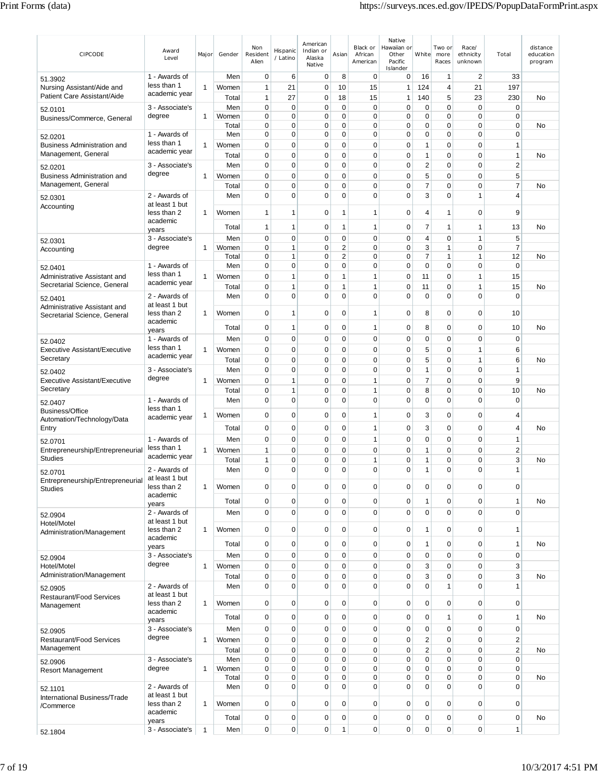| CIPCODE                                                      | Award<br>Level                  | Major        | Gender | Non<br>Resident<br>Alien | Hispanic<br>/ Latino       | American<br>Indian or<br>Alaska<br>Native | Asian                      | Black or<br>African<br>American | Native<br>Hawaiian or<br>Other<br>Pacific<br>Islander | White               | Two or<br>more<br>Races | Race/<br>ethnicity<br>unknown | Total                            | distance<br>education<br>program |
|--------------------------------------------------------------|---------------------------------|--------------|--------|--------------------------|----------------------------|-------------------------------------------|----------------------------|---------------------------------|-------------------------------------------------------|---------------------|-------------------------|-------------------------------|----------------------------------|----------------------------------|
| 51.3902                                                      | 1 - Awards of                   |              | Men    | 0                        | 6                          | $\mathbf 0$                               | 8                          | $\mathbf 0$                     | 0                                                     | 16                  | 1                       | $\overline{2}$                | 33                               |                                  |
| Nursing Assistant/Aide and                                   | less than 1                     | 1            | Women  | $\mathbf{1}$             | 21                         | $\mathbf 0$                               | 10                         | 15                              | $\mathbf{1}$                                          | 124                 | 4                       | 21                            | 197                              |                                  |
| Patient Care Assistant/Aide                                  | academic year                   |              | Total  | $\mathbf{1}$             | 27                         | 0                                         | 18                         | 15                              | 1                                                     | 140                 | 5                       | 23                            | 230                              | No                               |
| 52.0101                                                      | 3 - Associate's                 |              | Men    | $\mathbf 0$              | $\mathbf 0$                | 0                                         | $\mathbf 0$                | $\mathbf 0$                     | 0                                                     | $\mathbf 0$         | 0                       | 0                             | $\mathbf 0$                      |                                  |
| Business/Commerce, General                                   | degree                          | 1            | Women  | 0                        | 0                          | 0                                         | 0                          | 0                               | 0                                                     | $\pmb{0}$           | 0                       | 0                             | $\mathbf 0$                      |                                  |
|                                                              |                                 |              | Total  | 0                        | 0<br>0                     | 0                                         | 0                          | 0                               | 0<br>0                                                | 0                   | 0                       | 0<br>0                        | 0<br>$\mathbf 0$                 | No                               |
| 52.0201                                                      | 1 - Awards of<br>less than 1    |              | Men    | 0                        |                            | 0                                         | 0                          | 0                               |                                                       | 0                   | 0                       |                               |                                  |                                  |
| <b>Business Administration and</b><br>Management, General    | academic year                   | 1            | Women  | $\mathbf 0$              | $\mathbf 0$                | $\mathbf 0$                               | $\mathbf 0$                | $\mathbf 0$                     | $\mathbf 0$                                           | $\mathbf{1}$        | 0                       | 0                             | $\mathbf{1}$                     |                                  |
|                                                              |                                 |              | Total  | 0                        | 0                          | 0<br>0                                    | $\mathbf 0$<br>$\mathbf 0$ | $\mathbf 0$<br>$\mathbf 0$      | 0                                                     | $\mathbf{1}$        | 0<br>$\mathbf 0$        | 0<br>0                        | 1                                | No                               |
| 52.0201                                                      | 3 - Associate's<br>degree       |              | Men    | 0                        | 0                          |                                           |                            |                                 | 0                                                     | $\overline{2}$      |                         |                               | 2                                |                                  |
| <b>Business Administration and</b><br>Management, General    |                                 | 1            | Women  | $\mathbf 0$              | $\mathbf 0$                | 0                                         | $\mathbf 0$                | $\mathbf 0$                     | 0                                                     | 5                   | $\mathbf 0$             | 0                             | 5                                |                                  |
|                                                              |                                 |              | Total  | $\mathbf 0$<br>0         | $\mathbf 0$<br>$\mathbf 0$ | 0<br>0                                    | $\mathbf 0$<br>$\mathbf 0$ | $\mathbf 0$<br>0                | 0<br>0                                                | $\overline{7}$<br>3 | 0<br>0                  | 0<br>1                        | $\overline{7}$<br>$\overline{4}$ | No                               |
| 52.0301                                                      | 2 - Awards of<br>at least 1 but |              | Men    |                          |                            |                                           |                            |                                 |                                                       |                     |                         |                               |                                  |                                  |
| Accounting                                                   | less than 2                     | 1            | Women  | $\overline{1}$           | 1                          | 0                                         | 1                          | $\mathbf{1}$                    | 0                                                     | $\overline{4}$      | 1                       | 0                             | 9                                |                                  |
|                                                              | academic                        |              |        |                          |                            |                                           |                            |                                 |                                                       |                     |                         |                               |                                  |                                  |
|                                                              | years                           |              | Total  | 1                        | 1                          | 0                                         | 1                          | 1                               | 0                                                     | $\overline{7}$      | 1                       | 1                             | 13                               | No                               |
| 52.0301                                                      | 3 - Associate's                 |              | Men    | $\mathbf 0$              | 0                          | 0                                         | $\mathbf 0$                | $\mathbf 0$                     | 0                                                     | 4                   | 0                       | 1                             | 5                                |                                  |
| Accounting                                                   | degree                          | 1            | Women  | 0                        | 1                          | 0                                         | $\overline{2}$             | $\mathbf 0$                     | 0                                                     | 3                   | 1                       | 0                             | 7                                |                                  |
|                                                              |                                 |              | Total  | $\mathbf 0$              | 1<br>0                     | 0<br>0                                    | $\overline{c}$             | $\mathbf 0$                     | 0<br>0                                                | $\overline{7}$      | 1                       | 1<br>0                        | 12<br>$\mathbf 0$                | No                               |
| 52.0401                                                      | 1 - Awards of<br>less than 1    |              | Men    | 0                        |                            |                                           | 0                          | 0                               |                                                       | 0                   | 0                       | 1                             |                                  |                                  |
| Administrative Assistant and<br>Secretarial Science, General | academic year                   | 1            | Women  | 0                        | 1                          | 0                                         | 1                          | $\mathbf{1}$                    | 0                                                     | 11                  | 0                       |                               | 15                               |                                  |
|                                                              |                                 |              | Total  | 0                        | 1                          | 0                                         | 1                          | $\mathbf{1}$                    | 0                                                     | 11                  | 0                       | 1                             | 15                               | No                               |
| 52.0401                                                      | 2 - Awards of<br>at least 1 but |              | Men    | $\mathbf 0$              | $\mathbf 0$                | $\Omega$                                  | $\mathbf 0$                | $\mathbf 0$                     | $\mathbf 0$                                           | $\mathbf 0$         | 0                       | 0                             | $\mathbf 0$                      |                                  |
| Administrative Assistant and                                 | less than 2                     | 1            | Women  | $\mathbf 0$              | 1                          | 0                                         | 0                          | $\mathbf{1}$                    | 0                                                     | 8                   | 0                       | 0                             | 10                               |                                  |
| Secretarial Science, General                                 | academic                        |              |        |                          |                            |                                           |                            |                                 |                                                       |                     |                         |                               |                                  |                                  |
|                                                              | years                           |              | Total  | 0                        | 1                          | 0                                         | 0                          | $\mathbf{1}$                    | 0                                                     | 8                   | 0                       | 0                             | 10                               | No                               |
| 52.0402                                                      | 1 - Awards of                   |              | Men    | 0                        | 0                          | 0                                         | $\mathbf 0$                | $\mathbf 0$                     | 0                                                     | $\mathbf 0$         | 0                       | 0                             | $\mathbf 0$                      |                                  |
| Executive Assistant/Executive                                | less than 1                     | 1            | Women  | $\mathbf 0$              | $\mathbf 0$                | 0                                         | $\mathbf 0$                | $\mathbf 0$                     | $\overline{0}$                                        | 5                   | 0                       | 1                             | 6                                |                                  |
| Secretary                                                    | academic year                   |              | Total  | 0                        | 0                          | 0                                         | $\mathbf 0$                | $\mathbf 0$                     | 0                                                     | 5                   | 0                       | 1                             | 6                                | No                               |
| 52.0402                                                      | 3 - Associate's                 |              | Men    | 0                        | 0                          | 0                                         | 0                          | $\mathbf 0$                     | 0                                                     | $\mathbf{1}$        | 0                       | 0                             | 1                                |                                  |
| Executive Assistant/Executive                                | degree                          | 1            | Women  | 0                        | 1                          | 0                                         | 0                          | $\mathbf{1}$                    | 0                                                     | 7                   | 0                       | 0                             | 9                                |                                  |
| Secretary                                                    |                                 |              | Total  | $\mathbf 0$              | 1                          | 0                                         | 0                          | $\mathbf{1}$                    | 0                                                     | 8                   | 0                       | 0                             | 10                               | No                               |
| 52.0407                                                      | 1 - Awards of                   |              | Men    | 0                        | $\mathbf 0$                | 0                                         | $\mathbf 0$                | $\mathbf 0$                     | 0                                                     | $\mathbf 0$         | 0                       | 0                             | $\mathbf 0$                      |                                  |
| <b>Business/Office</b>                                       | less than 1                     |              | Women  | $\mathbf 0$              | $\mathbf 0$                | 0                                         | $\mathbf 0$                | $\mathbf{1}$                    | 0                                                     | 3                   | 0                       | 0                             | 4                                |                                  |
| Automation/Technology/Data                                   | academic year                   | 1            |        |                          |                            |                                           |                            |                                 |                                                       |                     |                         |                               |                                  |                                  |
| Entry                                                        |                                 |              | Total  | 0                        | 0                          | 0                                         | 0                          | $\mathbf{1}$                    | 0                                                     | 3                   | 0                       | 0                             | 4                                | No                               |
| 52.0701                                                      | 1 - Awards of                   |              | Men    | $\mathbf 0$              | 0                          | 0                                         | $\mathbf 0$                | $\mathbf{1}$                    | 0                                                     | $\mathbf 0$         | 0                       | 0                             | $\mathbf{1}$                     |                                  |
| Entrepreneurship/Entrepreneurial                             | less than 1<br>academic year    | 1            | Women  | 1                        | 0                          | 0                                         | 0                          | $\mathbf 0$                     | 0                                                     | $\mathbf{1}$        | 0                       | 0                             | $\overline{c}$                   |                                  |
| <b>Studies</b>                                               |                                 |              | Total  | $\mathbf{1}$             | 0                          | 0                                         | 0                          | 1                               | 0                                                     | $\mathbf{1}$        | 0                       | 0                             | 3                                | No                               |
| 52.0701                                                      | 2 - Awards of                   |              | Men    | $\Omega$                 | 0                          | $\Omega$                                  | $\Omega$                   | $\Omega$                        | 0                                                     | 1                   | $\Omega$                | 0                             | 1                                |                                  |
| Entrepreneurship/Entrepreneurial                             | at least 1 but<br>less than 2   | 1            | Women  | 0                        | 0                          | 0                                         | $\mathbf 0$                | 0                               | 0                                                     | $\mathbf 0$         | $\mathbf 0$             | 0                             | $\mathbf 0$                      |                                  |
| <b>Studies</b>                                               | academic                        |              |        |                          |                            |                                           |                            |                                 |                                                       |                     |                         |                               |                                  |                                  |
|                                                              | years                           |              | Total  | $\mathbf 0$              | $\mathbf 0$                | 0                                         | $\mathbf 0$                | 0                               | 0                                                     | $\mathbf{1}$        | 0                       | 0                             | 1                                | No                               |
| 52.0904                                                      | 2 - Awards of                   |              | Men    | $\mathbf 0$              | $\mathbf 0$                | $\mathbf 0$                               | $\mathbf 0$                | $\pmb{0}$                       | $\mathbf 0$                                           | $\mathbf 0$         | $\mathbf 0$             | $\mathbf 0$                   | $\pmb{0}$                        |                                  |
| Hotel/Motel                                                  | at least 1 but                  |              |        |                          |                            |                                           |                            |                                 |                                                       |                     |                         |                               |                                  |                                  |
| Administration/Management                                    | less than 2<br>academic         | 1            | Women  | $\mathbf 0$              | 0                          | 0                                         | $\mathbf 0$                | 0                               | 0                                                     | $\mathbf{1}$        | 0                       | 0                             | 1                                |                                  |
|                                                              | years                           |              | Total  | $\mathbf 0$              | $\mathbf 0$                | 0                                         | $\mathbf 0$                | 0                               | 0                                                     | $\mathbf{1}$        | 0                       | 0                             | 1                                | No                               |
| 52.0904                                                      | 3 - Associate's                 |              | Men    | $\mathbf 0$              | $\mathbf 0$                | $\mathbf 0$                               | $\mathbf 0$                | $\mathbf 0$                     | 0                                                     | $\pmb{0}$           | $\mathbf 0$             | 0                             | $\pmb{0}$                        |                                  |
| Hotel/Motel                                                  | degree                          | $\mathbf{1}$ | Women  | $\mathbf 0$              | $\mathbf 0$                | 0                                         | $\mathbf 0$                | $\mathbf 0$                     | $\mathbf 0$                                           | 3                   | 0                       | 0                             | 3                                |                                  |
| Administration/Management                                    |                                 |              | Total  | 0                        | 0                          | 0                                         | $\mathbf 0$                | 0                               | 0                                                     | 3                   | 0                       | 0                             | 3                                | No                               |
| 52.0905                                                      | 2 - Awards of                   |              | Men    | $\mathbf 0$              | $\mathbf 0$                | 0                                         | $\mathbf 0$                | $\mathbf 0$                     | $\mathbf 0$                                           | $\mathbf 0$         | 1                       | 0                             | $\mathbf{1}$                     |                                  |
| <b>Restaurant/Food Services</b>                              | at least 1 but                  |              |        |                          |                            |                                           |                            |                                 |                                                       |                     |                         |                               |                                  |                                  |
| Management                                                   | less than 2                     | 1            | Women  | $\mathbf 0$              | $\mathbf 0$                | $\mathbf 0$                               | $\mathbf 0$                | $\pmb{0}$                       | 0                                                     | $\pmb{0}$           | $\mathbf 0$             | 0                             | $\mathbf 0$                      |                                  |
|                                                              | academic                        |              | Total  | $\mathbf 0$              | $\mathbf 0$                | 0                                         | $\mathbf 0$                | $\mathbf 0$                     | 0                                                     | $\mathbf 0$         | 1                       | 0                             | $\mathbf{1}$                     | No                               |
|                                                              | years<br>3 - Associate's        |              | Men    | $\mathbf 0$              | $\mathbf 0$                | $\mathbf 0$                               | $\mathbf 0$                | $\mathbf 0$                     | 0                                                     | $\pmb{0}$           | $\mathbf 0$             | 0                             | $\mathbf 0$                      |                                  |
| 52.0905<br><b>Restaurant/Food Services</b>                   | degree                          | $\mathbf{1}$ | Women  | $\mathbf 0$              | $\mathbf 0$                | 0                                         | $\mathbf 0$                | $\mathbf 0$                     | 0                                                     | $\sqrt{2}$          | $\mathbf 0$             | 0                             | $\mathbf 2$                      |                                  |
| Management                                                   |                                 |              | Total  | $\mathbf 0$              | $\mathbf 0$                | 0                                         | $\mathbf 0$                | $\mathbf 0$                     | 0                                                     | $\sqrt{2}$          | $\mathbf 0$             | 0                             | $\overline{\mathbf{c}}$          | No                               |
|                                                              | 3 - Associate's                 |              | Men    | $\mathbf 0$              | $\mathbf 0$                | 0                                         | $\mathbf 0$                | $\pmb{0}$                       | 0                                                     | $\pmb{0}$           | 0                       | 0                             | 0                                |                                  |
| 52.0906<br><b>Resort Management</b>                          | degree                          | $\mathbf{1}$ | Women  | $\mathbf 0$              | 0                          | 0                                         | $\mathbf 0$                | $\mathbf 0$                     | 0                                                     | $\mathbf 0$         | 0                       | 0                             | $\mathbf 0$                      |                                  |
|                                                              |                                 |              | Total  | 0                        | $\mathbf 0$                | 0                                         | $\mathbf 0$                | $\mathbf 0$                     | 0                                                     | $\mathbf 0$         | 0                       | 0                             | 0                                | No                               |
| 52.1101                                                      | 2 - Awards of                   |              | Men    | $\mathbf 0$              | $\overline{0}$             | 0                                         | $\mathbf 0$                | $\mathbf 0$                     | 0                                                     | $\mathbf 0$         | 0                       | 0                             | 0                                |                                  |
| International Business/Trade                                 | at least 1 but                  |              |        |                          |                            |                                           |                            |                                 |                                                       |                     |                         |                               |                                  |                                  |
| /Commerce                                                    | less than 2<br>academic         | 1            | Women  | $\mathbf 0$              | $\mathbf 0$                | 0                                         | $\mathbf 0$                | $\mathbf 0$                     | 0                                                     | $\mathbf 0$         | $\mathbf 0$             | 0                             | $\mathbf 0$                      |                                  |
|                                                              | years                           |              | Total  | $\mathbf 0$              | 0                          | 0                                         | $\mathbf 0$                | $\pmb{0}$                       | 0                                                     | $\mathbf 0$         | $\mathbf 0$             | 0                             | $\pmb{0}$                        | No                               |
| 52.1804                                                      | 3 - Associate's                 | $\mathbf{1}$ | Men    | $\pmb{0}$                | $\mathbf 0$                | $\mathbf 0$                               | 1                          | $\pmb{0}$                       | 0                                                     | $\pmb{0}$           | 0                       | 0                             | $\mathbf{1}$                     |                                  |
|                                                              |                                 |              |        |                          |                            |                                           |                            |                                 |                                                       |                     |                         |                               |                                  |                                  |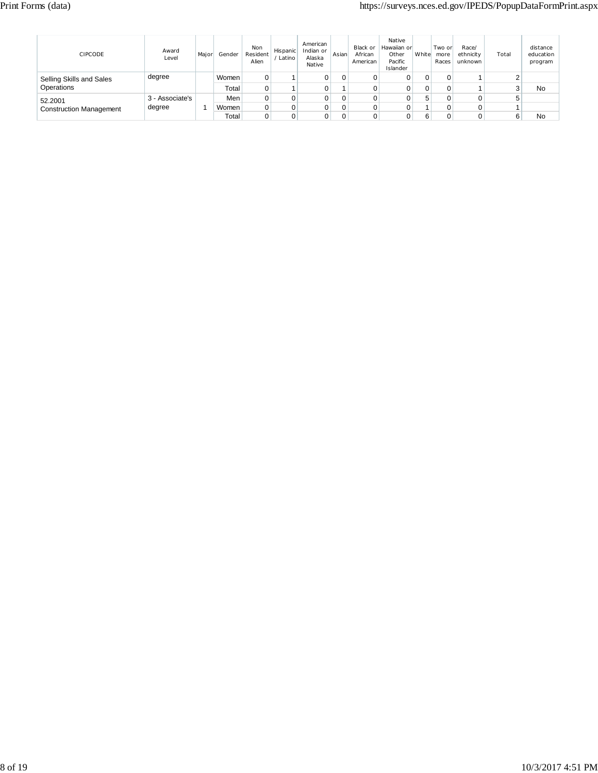# Print Forms (data) https://surveys.nces.ed.gov/IPEDS/PopupDataFormPrint.aspx

| <b>CIPCODE</b>                 | Award<br>Level  | Major | Gender | Non<br>Resident<br>Alien | Hispanic<br>Latino | American<br>Indian or<br>Alaska<br>Native | Asian | Black or<br>African<br>American | Native<br>Hawaiian or<br>Other<br>Pacific<br>Islander | White | Two or<br>more<br>Races | Race/<br>ethnicity<br>unknown | Total | distance<br>education<br>program |
|--------------------------------|-----------------|-------|--------|--------------------------|--------------------|-------------------------------------------|-------|---------------------------------|-------------------------------------------------------|-------|-------------------------|-------------------------------|-------|----------------------------------|
| Selling Skills and Sales       | degree          |       | Women  |                          |                    |                                           | 0     |                                 |                                                       | 0     |                         |                               |       |                                  |
| Operations                     |                 |       | Total  | 0                        |                    |                                           |       |                                 |                                                       | 0     |                         |                               |       | No                               |
| 52.2001                        | 3 - Associate's |       | Men    |                          |                    |                                           | 0     |                                 |                                                       | 5     |                         | 0                             |       |                                  |
| <b>Construction Management</b> | degree          |       | Women  |                          |                    |                                           |       |                                 |                                                       |       |                         |                               |       |                                  |
|                                |                 |       | Total  |                          |                    |                                           |       |                                 |                                                       | 6     |                         |                               |       | No                               |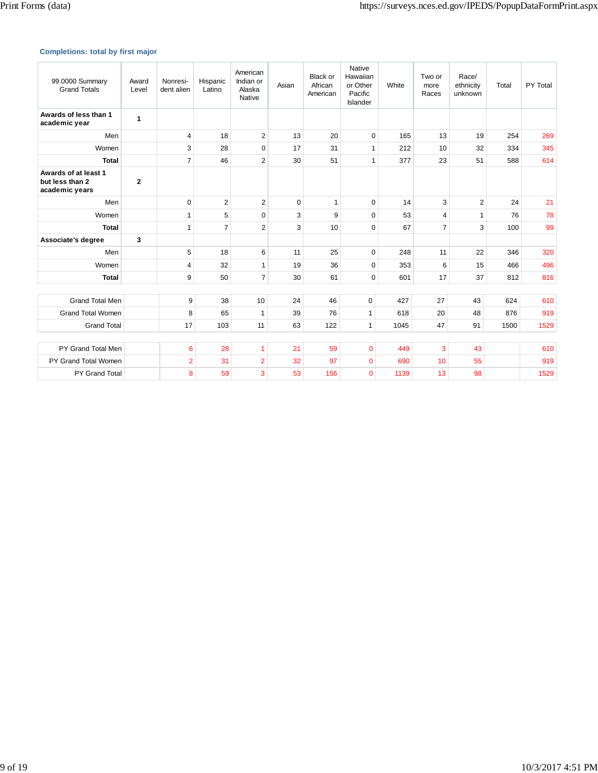# **Completions: total by first major**

| 99.0000 Summary<br><b>Grand Totals</b>                    | Award<br>Level | Nonresi-<br>dent alien | Hispanic<br>Latino | American<br>Indian or<br>Alaska<br>Native | Asian    | <b>Black or</b><br>African<br>American | Native<br>Hawaiian<br>or Other<br>Pacific<br>Islander | White | Two or<br>more<br>Races | Race/<br>ethnicity<br>unknown | Total | PY Total |
|-----------------------------------------------------------|----------------|------------------------|--------------------|-------------------------------------------|----------|----------------------------------------|-------------------------------------------------------|-------|-------------------------|-------------------------------|-------|----------|
| Awards of less than 1<br>academic year                    | 1              |                        |                    |                                           |          |                                        |                                                       |       |                         |                               |       |          |
| Men                                                       |                | 4                      | 18                 | $\overline{2}$                            | 13       | 20                                     | 0                                                     | 165   | 13                      | 19                            | 254   | 269      |
| Women                                                     |                | 3                      | 28                 | 0                                         | 17       | 31                                     | $\mathbf{1}$                                          | 212   | 10                      | 32                            | 334   | 345      |
| <b>Total</b>                                              |                | $\overline{7}$         | 46                 | $\overline{2}$                            | 30       | 51                                     | $\mathbf{1}$                                          | 377   | 23                      | 51                            | 588   | 614      |
| Awards of at least 1<br>but less than 2<br>academic years | $\mathbf{2}$   |                        |                    |                                           |          |                                        |                                                       |       |                         |                               |       |          |
| Men                                                       |                | $\Omega$               | $\overline{2}$     | $\overline{2}$                            | $\Omega$ | $\mathbf{1}$                           | $\mathbf 0$                                           | 14    | 3                       | $\overline{2}$                | 24    | 21       |
| Women                                                     |                | 1                      | 5                  | $\Omega$                                  | 3        | 9                                      | $\mathbf 0$                                           | 53    | $\overline{4}$          | $\mathbf{1}$                  | 76    | 78       |
| <b>Total</b>                                              |                | 1                      | $\overline{7}$     | $\overline{2}$                            | 3        | 10                                     | $\Omega$                                              | 67    | $\overline{7}$          | 3                             | 100   | 99       |
| Associate's degree                                        | 3              |                        |                    |                                           |          |                                        |                                                       |       |                         |                               |       |          |
| Men                                                       |                | 5                      | 18                 | 6                                         | 11       | 25                                     | $\mathbf 0$                                           | 248   | 11                      | 22                            | 346   | 320      |
| Women                                                     |                | 4                      | 32                 | $\mathbf{1}$                              | 19       | 36                                     | 0                                                     | 353   | 6                       | 15                            | 466   | 496      |
| <b>Total</b>                                              |                | 9                      | 50                 | $\overline{7}$                            | 30       | 61                                     | $\mathbf 0$                                           | 601   | 17                      | 37                            | 812   | 816      |
|                                                           |                |                        |                    |                                           |          |                                        |                                                       |       |                         |                               |       |          |
| <b>Grand Total Men</b>                                    |                | 9                      | 38                 | 10                                        | 24       | 46                                     | 0                                                     | 427   | 27                      | 43                            | 624   | 610      |
| <b>Grand Total Women</b>                                  |                | 8                      | 65                 | $\mathbf{1}$                              | 39       | 76                                     | $\mathbf{1}$                                          | 618   | 20                      | 48                            | 876   | 919      |
| <b>Grand Total</b>                                        |                | 17                     | 103                | 11                                        | 63       | 122                                    | $\mathbf{1}$                                          | 1045  | 47                      | 91                            | 1500  | 1529     |
|                                                           |                |                        |                    |                                           |          |                                        |                                                       |       |                         |                               |       |          |
| PY Grand Total Men                                        |                | 6                      | 28                 | $\mathbf{1}$                              | 21       | 59                                     | $\overline{0}$                                        | 449   | 3                       | 43                            |       | 610      |
| PY Grand Total Women                                      |                | $\overline{2}$         | 31                 | $\overline{2}$                            | 32       | 97                                     | $\overline{0}$                                        | 690   | 10                      | 55                            |       | 919      |
| PY Grand Total                                            |                | 8                      | 59                 | 3                                         | 53       | 156                                    | $\overline{0}$                                        | 1139  | 13                      | 98                            |       | 1529     |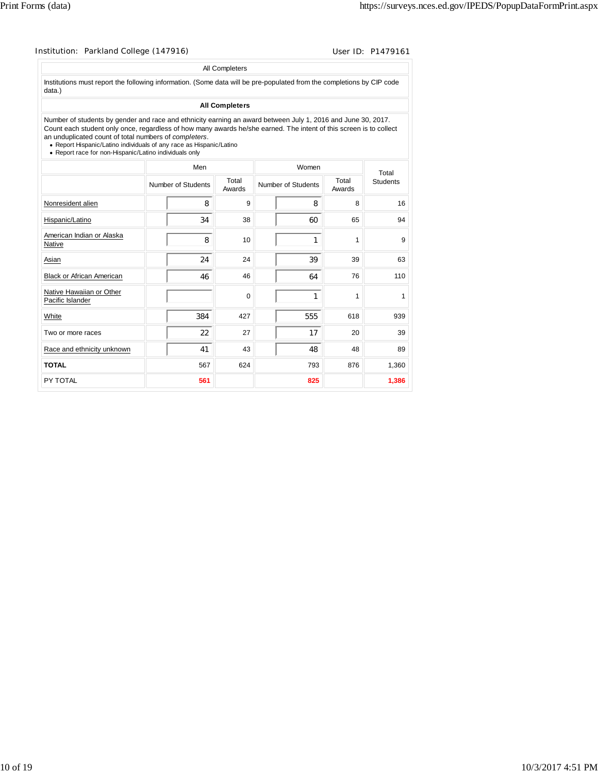| Institution: Parkland College (147916)                                                                                                                                                                                                                                                                                                                                                                                       |                    |     |                       |                           |                 | User ID: P1479161 |
|------------------------------------------------------------------------------------------------------------------------------------------------------------------------------------------------------------------------------------------------------------------------------------------------------------------------------------------------------------------------------------------------------------------------------|--------------------|-----|-----------------------|---------------------------|-----------------|-------------------|
|                                                                                                                                                                                                                                                                                                                                                                                                                              |                    |     | All Completers        |                           |                 |                   |
| Institutions must report the following information. (Some data will be pre-populated from the completions by CIP code<br>data.)                                                                                                                                                                                                                                                                                              |                    |     |                       |                           |                 |                   |
|                                                                                                                                                                                                                                                                                                                                                                                                                              |                    |     | <b>All Completers</b> |                           |                 |                   |
| Number of students by gender and race and ethnicity earning an award between July 1, 2016 and June 30, 2017.<br>Count each student only once, regardless of how many awards he/she earned. The intent of this screen is to collect<br>an unduplicated count of total numbers of completers.<br>• Report Hispanic/Latino individuals of any race as Hispanic/Latino<br>• Report race for non-Hispanic/Latino individuals only |                    |     |                       |                           |                 |                   |
|                                                                                                                                                                                                                                                                                                                                                                                                                              |                    | Men |                       | Women                     |                 | Total             |
|                                                                                                                                                                                                                                                                                                                                                                                                                              | Number of Students |     | Total<br>Awards       | <b>Number of Students</b> | Total<br>Awards | <b>Students</b>   |
| Nonresident alien                                                                                                                                                                                                                                                                                                                                                                                                            |                    | 8   | 9                     | 8                         | 8               | 16                |
| Hispanic/Latino                                                                                                                                                                                                                                                                                                                                                                                                              |                    | 34  | 38                    | 60                        | 65              | 94                |
| American Indian or Alaska<br>Native                                                                                                                                                                                                                                                                                                                                                                                          |                    | 8   | 10                    | 1                         | 1               | 9                 |
| Asian                                                                                                                                                                                                                                                                                                                                                                                                                        |                    | 24  | 24                    | 39                        | 39              | 63                |
| <b>Black or African American</b>                                                                                                                                                                                                                                                                                                                                                                                             |                    | 46  | 46                    | 64                        | 76              | 110               |
| Native Hawaiian or Other<br>Pacific Islander                                                                                                                                                                                                                                                                                                                                                                                 |                    |     | 0                     | 1                         | 1               | 1                 |
| White                                                                                                                                                                                                                                                                                                                                                                                                                        |                    | 384 | 427                   | 555                       | 618             | 939               |
| Two or more races                                                                                                                                                                                                                                                                                                                                                                                                            |                    | 22  | 27                    | 17                        | 20              | 39                |
| Race and ethnicity unknown                                                                                                                                                                                                                                                                                                                                                                                                   |                    | 41  | 43                    | 48                        | 48              | 89                |
| <b>TOTAL</b>                                                                                                                                                                                                                                                                                                                                                                                                                 |                    | 567 | 624                   | 793                       | 876             | 1,360             |
| PY TOTAL                                                                                                                                                                                                                                                                                                                                                                                                                     |                    | 561 |                       | 825                       |                 | 1,386             |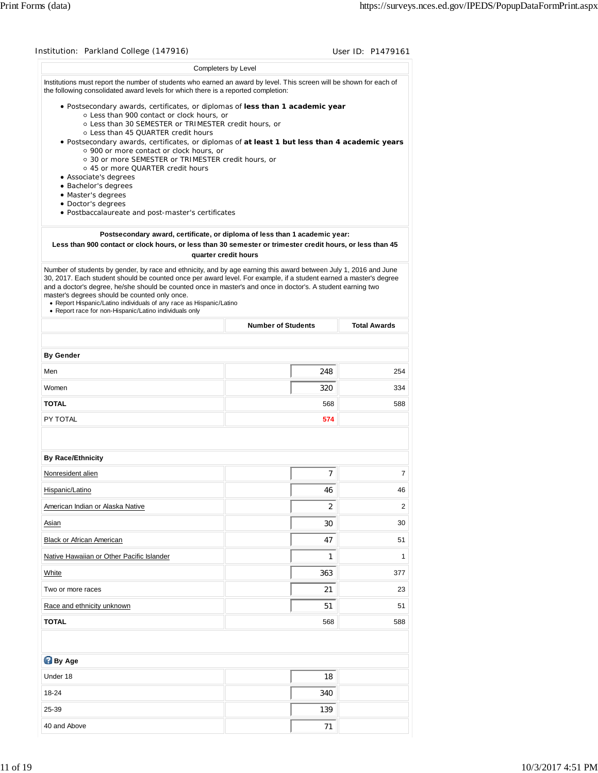|                                                                                                                                                                                                                                                                                                                                                                                                                                                                               |                                                                            | User ID: P1479161                |
|-------------------------------------------------------------------------------------------------------------------------------------------------------------------------------------------------------------------------------------------------------------------------------------------------------------------------------------------------------------------------------------------------------------------------------------------------------------------------------|----------------------------------------------------------------------------|----------------------------------|
|                                                                                                                                                                                                                                                                                                                                                                                                                                                                               | Completers by Level                                                        |                                  |
| Institutions must report the number of students who earned an award by level. This screen will be shown for each of<br>the following consolidated award levels for which there is a reported completion:                                                                                                                                                                                                                                                                      |                                                                            |                                  |
| · Postsecondary awards, certificates, or diplomas of less than 1 academic year<br>o Less than 900 contact or clock hours, or<br>○ Less than 30 SEMESTER or TRIMESTER credit hours, or<br>○ Less than 45 QUARTER credit hours<br>. Postsecondary awards, certificates, or diplomas of at least 1 but less than 4 academic years<br>o 900 or more contact or clock hours, or                                                                                                    |                                                                            |                                  |
| ○ 30 or more SEMESTER or TRIMESTER credit hours, or                                                                                                                                                                                                                                                                                                                                                                                                                           |                                                                            |                                  |
| ○ 45 or more QUARTER credit hours<br>• Associate's degrees                                                                                                                                                                                                                                                                                                                                                                                                                    |                                                                            |                                  |
| · Bachelor's degrees<br>· Master's degrees                                                                                                                                                                                                                                                                                                                                                                                                                                    |                                                                            |                                  |
| • Doctor's degrees                                                                                                                                                                                                                                                                                                                                                                                                                                                            |                                                                            |                                  |
| · Postbaccalaureate and post-master's certificates                                                                                                                                                                                                                                                                                                                                                                                                                            |                                                                            |                                  |
|                                                                                                                                                                                                                                                                                                                                                                                                                                                                               | Postsecondary award, certificate, or diploma of less than 1 academic year: |                                  |
| Less than 900 contact or clock hours, or less than 30 semester or trimester credit hours, or less than 45                                                                                                                                                                                                                                                                                                                                                                     | quarter credit hours                                                       |                                  |
| Number of students by gender, by race and ethnicity, and by age earning this award between July 1, 2016 and June<br>30, 2017. Each student should be counted once per award level. For example, if a student earned a master's degree<br>and a doctor's degree, he/she should be counted once in master's and once in doctor's. A student earning two<br>master's degrees should be counted only once.<br>• Report Hispanic/Latino individuals of any race as Hispanic/Latino |                                                                            |                                  |
| • Report race for non-Hispanic/Latino individuals only                                                                                                                                                                                                                                                                                                                                                                                                                        |                                                                            |                                  |
|                                                                                                                                                                                                                                                                                                                                                                                                                                                                               | <b>Number of Students</b>                                                  | <b>Total Awards</b>              |
| <b>By Gender</b>                                                                                                                                                                                                                                                                                                                                                                                                                                                              |                                                                            |                                  |
| Men                                                                                                                                                                                                                                                                                                                                                                                                                                                                           | 248                                                                        | 254                              |
| Women                                                                                                                                                                                                                                                                                                                                                                                                                                                                         | 320                                                                        | 334                              |
| <b>TOTAL</b>                                                                                                                                                                                                                                                                                                                                                                                                                                                                  | 568                                                                        | 588                              |
| PY TOTAL                                                                                                                                                                                                                                                                                                                                                                                                                                                                      | 574                                                                        |                                  |
|                                                                                                                                                                                                                                                                                                                                                                                                                                                                               |                                                                            |                                  |
|                                                                                                                                                                                                                                                                                                                                                                                                                                                                               |                                                                            |                                  |
| <b>By Race/Ethnicity</b>                                                                                                                                                                                                                                                                                                                                                                                                                                                      |                                                                            |                                  |
| Nonresident alien                                                                                                                                                                                                                                                                                                                                                                                                                                                             | $\overline{7}$                                                             | 7                                |
| Hispanic/Latino                                                                                                                                                                                                                                                                                                                                                                                                                                                               | 46                                                                         | 46                               |
| American Indian or Alaska Native                                                                                                                                                                                                                                                                                                                                                                                                                                              | 2                                                                          | $\overline{2}$                   |
| Asian                                                                                                                                                                                                                                                                                                                                                                                                                                                                         | 30                                                                         |                                  |
| <b>Black or African American</b>                                                                                                                                                                                                                                                                                                                                                                                                                                              | 47                                                                         |                                  |
| Native Hawaiian or Other Pacific Islander                                                                                                                                                                                                                                                                                                                                                                                                                                     | 1                                                                          |                                  |
| White                                                                                                                                                                                                                                                                                                                                                                                                                                                                         | 363                                                                        |                                  |
| Two or more races                                                                                                                                                                                                                                                                                                                                                                                                                                                             | 21                                                                         |                                  |
| Race and ethnicity unknown                                                                                                                                                                                                                                                                                                                                                                                                                                                    | 51                                                                         | 30<br>51<br>1<br>377<br>23<br>51 |
| <b>TOTAL</b>                                                                                                                                                                                                                                                                                                                                                                                                                                                                  | 568                                                                        | 588                              |
|                                                                                                                                                                                                                                                                                                                                                                                                                                                                               |                                                                            |                                  |
|                                                                                                                                                                                                                                                                                                                                                                                                                                                                               |                                                                            |                                  |
| <b>By Age</b><br>Under 18                                                                                                                                                                                                                                                                                                                                                                                                                                                     | 18                                                                         |                                  |
| 18-24                                                                                                                                                                                                                                                                                                                                                                                                                                                                         |                                                                            |                                  |
| 25-39                                                                                                                                                                                                                                                                                                                                                                                                                                                                         | 340<br>139                                                                 |                                  |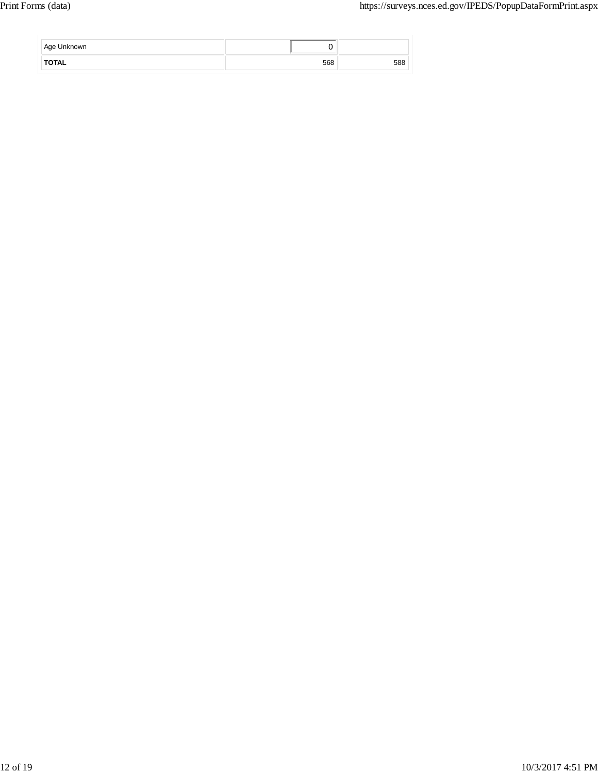| Age Unknown  | v   |     |
|--------------|-----|-----|
| <b>TOTAL</b> | 568 | 588 |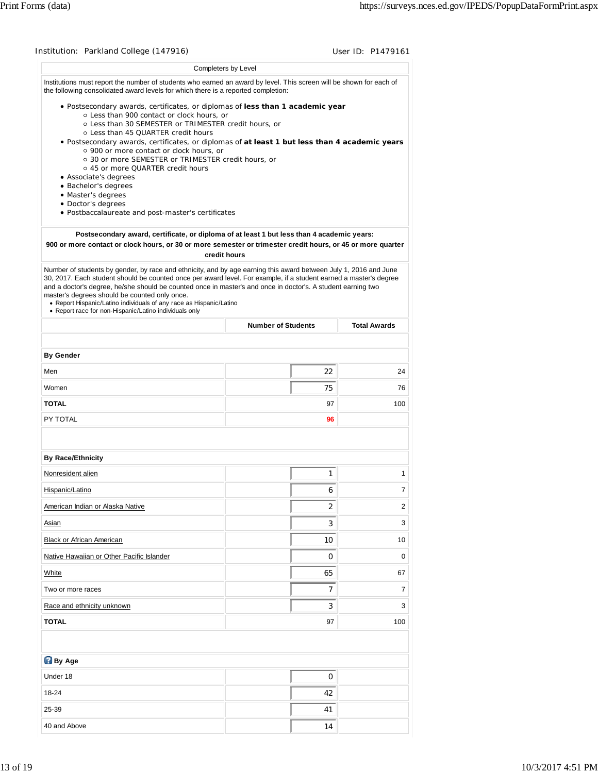| Institution: Parkland College (147916)                                                                                                                                                                                                                                                                                                                                                                              |                                                                                                            | User ID: P1479161        |
|---------------------------------------------------------------------------------------------------------------------------------------------------------------------------------------------------------------------------------------------------------------------------------------------------------------------------------------------------------------------------------------------------------------------|------------------------------------------------------------------------------------------------------------|--------------------------|
|                                                                                                                                                                                                                                                                                                                                                                                                                     | Completers by Level                                                                                        |                          |
| Institutions must report the number of students who earned an award by level. This screen will be shown for each of<br>the following consolidated award levels for which there is a reported completion:                                                                                                                                                                                                            |                                                                                                            |                          |
| . Postsecondary awards, certificates, or diplomas of less than 1 academic year<br>o Less than 900 contact or clock hours, or<br>○ Less than 30 SEMESTER or TRIMESTER credit hours, or<br>o Less than 45 QUARTER credit hours<br>· Postsecondary awards, certificates, or diplomas of at least 1 but less than 4 academic years<br>○ 900 or more contact or clock hours, or                                          |                                                                                                            |                          |
| ○ 30 or more SEMESTER or TRIMESTER credit hours, or<br>○ 45 or more QUARTER credit hours                                                                                                                                                                                                                                                                                                                            |                                                                                                            |                          |
| • Associate's degrees<br>· Bachelor's degrees                                                                                                                                                                                                                                                                                                                                                                       |                                                                                                            |                          |
| · Master's degrees                                                                                                                                                                                                                                                                                                                                                                                                  |                                                                                                            |                          |
| • Doctor's degrees<br>· Postbaccalaureate and post-master's certificates                                                                                                                                                                                                                                                                                                                                            |                                                                                                            |                          |
|                                                                                                                                                                                                                                                                                                                                                                                                                     |                                                                                                            |                          |
| 900 or more contact or clock hours, or 30 or more semester or trimester credit hours, or 45 or more quarter                                                                                                                                                                                                                                                                                                         | Postsecondary award, certificate, or diploma of at least 1 but less than 4 academic years:<br>credit hours |                          |
| Number of students by gender, by race and ethnicity, and by age earning this award between July 1, 2016 and June                                                                                                                                                                                                                                                                                                    |                                                                                                            |                          |
| 30, 2017. Each student should be counted once per award level. For example, if a student earned a master's degree<br>and a doctor's degree, he/she should be counted once in master's and once in doctor's. A student earning two<br>master's degrees should be counted only once.<br>• Report Hispanic/Latino individuals of any race as Hispanic/Latino<br>• Report race for non-Hispanic/Latino individuals only |                                                                                                            |                          |
|                                                                                                                                                                                                                                                                                                                                                                                                                     | <b>Number of Students</b>                                                                                  | <b>Total Awards</b>      |
| <b>By Gender</b>                                                                                                                                                                                                                                                                                                                                                                                                    |                                                                                                            |                          |
| Men                                                                                                                                                                                                                                                                                                                                                                                                                 | 22                                                                                                         | 24                       |
| Women                                                                                                                                                                                                                                                                                                                                                                                                               | 75                                                                                                         | 76                       |
| <b>TOTAL</b>                                                                                                                                                                                                                                                                                                                                                                                                        | 97                                                                                                         | 100                      |
| PY TOTAL                                                                                                                                                                                                                                                                                                                                                                                                            | 96                                                                                                         |                          |
|                                                                                                                                                                                                                                                                                                                                                                                                                     |                                                                                                            |                          |
| <b>By Race/Ethnicity</b>                                                                                                                                                                                                                                                                                                                                                                                            |                                                                                                            |                          |
| Nonresident alien                                                                                                                                                                                                                                                                                                                                                                                                   | 1                                                                                                          | 1                        |
| Hispanic/Latino                                                                                                                                                                                                                                                                                                                                                                                                     | 6                                                                                                          | 7                        |
| American Indian or Alaska Native                                                                                                                                                                                                                                                                                                                                                                                    | 2                                                                                                          | $\overline{2}$           |
| Asian                                                                                                                                                                                                                                                                                                                                                                                                               | 3                                                                                                          | 3                        |
|                                                                                                                                                                                                                                                                                                                                                                                                                     |                                                                                                            | 10                       |
| Black or African American                                                                                                                                                                                                                                                                                                                                                                                           | 10                                                                                                         |                          |
| Native Hawaiian or Other Pacific Islander                                                                                                                                                                                                                                                                                                                                                                           | 0                                                                                                          |                          |
| White                                                                                                                                                                                                                                                                                                                                                                                                               | 65                                                                                                         |                          |
| Two or more races                                                                                                                                                                                                                                                                                                                                                                                                   | $\overline{7}$                                                                                             |                          |
| Race and ethnicity unknown                                                                                                                                                                                                                                                                                                                                                                                          | 3                                                                                                          |                          |
| <b>TOTAL</b>                                                                                                                                                                                                                                                                                                                                                                                                        | 97                                                                                                         | 0<br>67<br>7<br>3<br>100 |
|                                                                                                                                                                                                                                                                                                                                                                                                                     |                                                                                                            |                          |
| <b>By Age</b>                                                                                                                                                                                                                                                                                                                                                                                                       |                                                                                                            |                          |
| Under 18                                                                                                                                                                                                                                                                                                                                                                                                            | 0                                                                                                          |                          |
| 18-24                                                                                                                                                                                                                                                                                                                                                                                                               | 42                                                                                                         |                          |
| 25-39                                                                                                                                                                                                                                                                                                                                                                                                               | 41                                                                                                         |                          |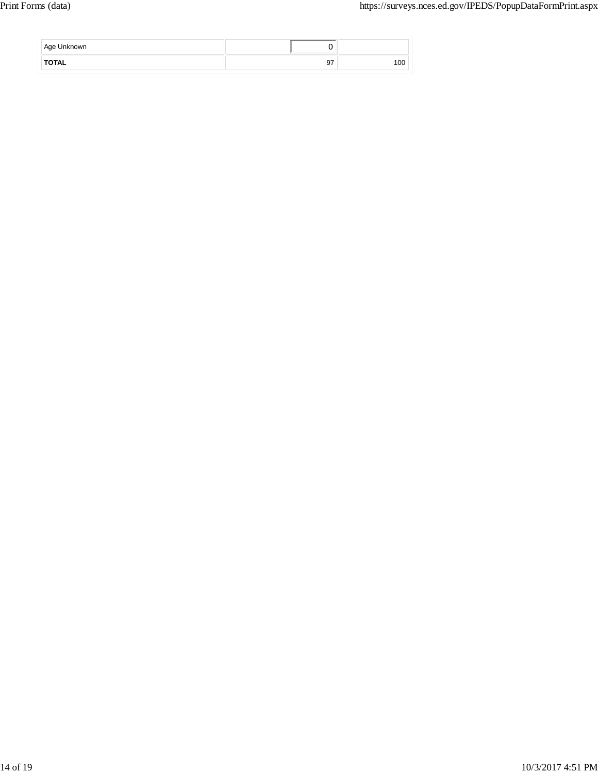| Age Unknown  |    |     |
|--------------|----|-----|
| <b>TOTAL</b> | 97 | 100 |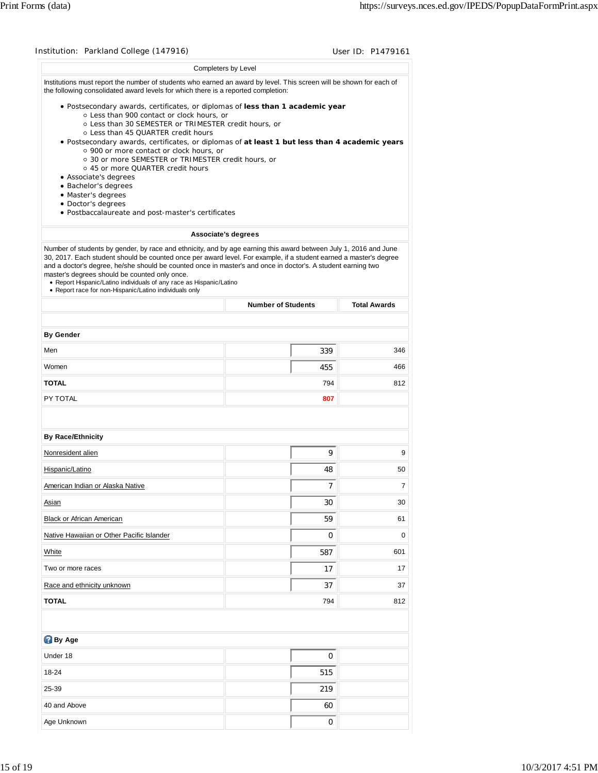| Institution: Parkland College (147916)                                                                                                                                                                                                                                                                                                                                                                                                                                                                                                  |                           | User ID: P1479161   |
|-----------------------------------------------------------------------------------------------------------------------------------------------------------------------------------------------------------------------------------------------------------------------------------------------------------------------------------------------------------------------------------------------------------------------------------------------------------------------------------------------------------------------------------------|---------------------------|---------------------|
| Completers by Level                                                                                                                                                                                                                                                                                                                                                                                                                                                                                                                     |                           |                     |
| Institutions must report the number of students who earned an award by level. This screen will be shown for each of<br>the following consolidated award levels for which there is a reported completion:                                                                                                                                                                                                                                                                                                                                |                           |                     |
| . Postsecondary awards, certificates, or diplomas of less than 1 academic year<br>o Less than 900 contact or clock hours, or<br>○ Less than 30 SEMESTER or TRIMESTER credit hours, or<br>o Less than 45 QUARTER credit hours                                                                                                                                                                                                                                                                                                            |                           |                     |
| . Postsecondary awards, certificates, or diplomas of at least 1 but less than 4 academic years<br>o 900 or more contact or clock hours, or<br>○ 30 or more SEMESTER or TRIMESTER credit hours, or<br>○ 45 or more QUARTER credit hours                                                                                                                                                                                                                                                                                                  |                           |                     |
| • Associate's degrees<br>• Bachelor's degrees                                                                                                                                                                                                                                                                                                                                                                                                                                                                                           |                           |                     |
| • Master's degrees                                                                                                                                                                                                                                                                                                                                                                                                                                                                                                                      |                           |                     |
| • Doctor's degrees<br>· Postbaccalaureate and post-master's certificates                                                                                                                                                                                                                                                                                                                                                                                                                                                                |                           |                     |
| Associate's degrees                                                                                                                                                                                                                                                                                                                                                                                                                                                                                                                     |                           |                     |
| Number of students by gender, by race and ethnicity, and by age earning this award between July 1, 2016 and June<br>30, 2017. Each student should be counted once per award level. For example, if a student earned a master's degree<br>and a doctor's degree, he/she should be counted once in master's and once in doctor's. A student earning two<br>master's degrees should be counted only once.<br>• Report Hispanic/Latino individuals of any race as Hispanic/Latino<br>• Report race for non-Hispanic/Latino individuals only |                           |                     |
|                                                                                                                                                                                                                                                                                                                                                                                                                                                                                                                                         | <b>Number of Students</b> | <b>Total Awards</b> |
|                                                                                                                                                                                                                                                                                                                                                                                                                                                                                                                                         |                           |                     |
| <b>By Gender</b>                                                                                                                                                                                                                                                                                                                                                                                                                                                                                                                        |                           |                     |
| Men                                                                                                                                                                                                                                                                                                                                                                                                                                                                                                                                     | 339                       | 346                 |
| Women                                                                                                                                                                                                                                                                                                                                                                                                                                                                                                                                   | 455                       | 466                 |
| <b>TOTAL</b>                                                                                                                                                                                                                                                                                                                                                                                                                                                                                                                            | 794                       | 812                 |
| PY TOTAL                                                                                                                                                                                                                                                                                                                                                                                                                                                                                                                                | 807                       |                     |
| <b>By Race/Ethnicity</b>                                                                                                                                                                                                                                                                                                                                                                                                                                                                                                                |                           |                     |
| Nonresident alien                                                                                                                                                                                                                                                                                                                                                                                                                                                                                                                       | 9                         | 9                   |
| Hispanic/Latino                                                                                                                                                                                                                                                                                                                                                                                                                                                                                                                         | 48                        | 50                  |
| American Indian or Alaska Native                                                                                                                                                                                                                                                                                                                                                                                                                                                                                                        | 7                         | 7                   |
| Asian                                                                                                                                                                                                                                                                                                                                                                                                                                                                                                                                   | 30                        | 30                  |
| Black or African American                                                                                                                                                                                                                                                                                                                                                                                                                                                                                                               | 59                        | 61                  |
| Native Hawaiian or Other Pacific Islander                                                                                                                                                                                                                                                                                                                                                                                                                                                                                               | 0                         | 0                   |
| White                                                                                                                                                                                                                                                                                                                                                                                                                                                                                                                                   | 587                       | 601                 |
| Two or more races                                                                                                                                                                                                                                                                                                                                                                                                                                                                                                                       | 17                        | 17                  |
| Race and ethnicity unknown                                                                                                                                                                                                                                                                                                                                                                                                                                                                                                              | 37                        | 37                  |
| <b>TOTAL</b>                                                                                                                                                                                                                                                                                                                                                                                                                                                                                                                            | 794                       | 812                 |
|                                                                                                                                                                                                                                                                                                                                                                                                                                                                                                                                         |                           |                     |
| <b>By Age</b>                                                                                                                                                                                                                                                                                                                                                                                                                                                                                                                           |                           |                     |
| Under 18                                                                                                                                                                                                                                                                                                                                                                                                                                                                                                                                | 0                         |                     |
|                                                                                                                                                                                                                                                                                                                                                                                                                                                                                                                                         |                           |                     |
| 18-24                                                                                                                                                                                                                                                                                                                                                                                                                                                                                                                                   | 515                       |                     |
| 25-39                                                                                                                                                                                                                                                                                                                                                                                                                                                                                                                                   | 219                       |                     |
| 40 and Above                                                                                                                                                                                                                                                                                                                                                                                                                                                                                                                            | 60                        |                     |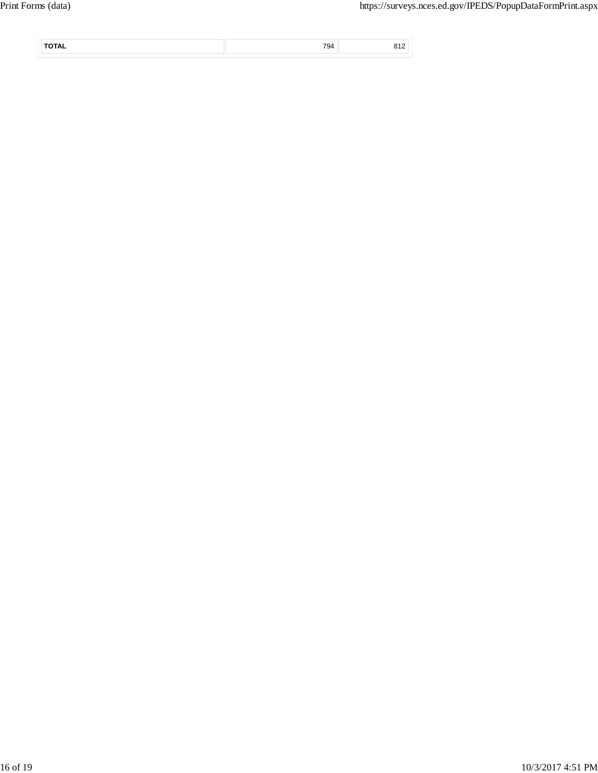|  | $\overline{\phantom{a}}$ |  |
|--|--------------------------|--|
|  |                          |  |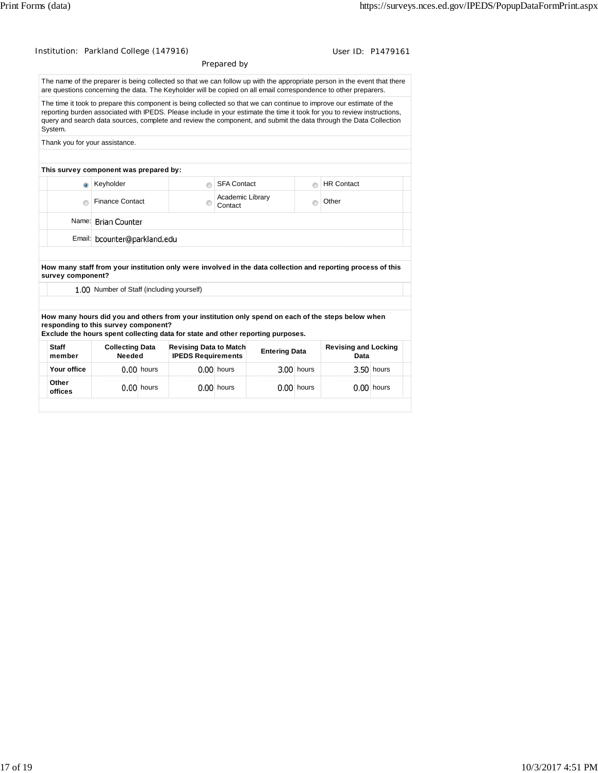| Institution: Parkland College (147916)                                                                                  |                                           |              |                                                            |                             |                      |            |                                                                                                                                                                                                                                                                                                                                                                       | User ID: P1479161 |
|-------------------------------------------------------------------------------------------------------------------------|-------------------------------------------|--------------|------------------------------------------------------------|-----------------------------|----------------------|------------|-----------------------------------------------------------------------------------------------------------------------------------------------------------------------------------------------------------------------------------------------------------------------------------------------------------------------------------------------------------------------|-------------------|
|                                                                                                                         |                                           |              |                                                            | Prepared by                 |                      |            |                                                                                                                                                                                                                                                                                                                                                                       |                   |
|                                                                                                                         |                                           |              |                                                            |                             |                      |            | The name of the preparer is being collected so that we can follow up with the appropriate person in the event that there<br>are questions concerning the data. The Keyholder will be copied on all email correspondence to other preparers.                                                                                                                           |                   |
| System.                                                                                                                 |                                           |              |                                                            |                             |                      |            | The time it took to prepare this component is being collected so that we can continue to improve our estimate of the<br>reporting burden associated with IPEDS. Please include in your estimate the time it took for you to review instructions,<br>query and search data sources, complete and review the component, and submit the data through the Data Collection |                   |
| Thank you for your assistance.                                                                                          |                                           |              |                                                            |                             |                      |            |                                                                                                                                                                                                                                                                                                                                                                       |                   |
| This survey component was prepared by:                                                                                  |                                           |              |                                                            |                             |                      |            |                                                                                                                                                                                                                                                                                                                                                                       |                   |
| $\bullet$                                                                                                               | Keyholder                                 |              | ∩                                                          | <b>SFA Contact</b>          |                      | ⋒          | <b>HR Contact</b>                                                                                                                                                                                                                                                                                                                                                     |                   |
| $\bigcirc$                                                                                                              | <b>Finance Contact</b>                    |              | $\odot$                                                    | Academic Library<br>Contact |                      | $\odot$    | Other                                                                                                                                                                                                                                                                                                                                                                 |                   |
|                                                                                                                         | Name: Brian Counter                       |              |                                                            |                             |                      |            |                                                                                                                                                                                                                                                                                                                                                                       |                   |
|                                                                                                                         | Email: bcounter@parkland.edu              |              |                                                            |                             |                      |            |                                                                                                                                                                                                                                                                                                                                                                       |                   |
| survey component?                                                                                                       | 1.00 Number of Staff (including yourself) |              |                                                            |                             |                      |            | How many staff from your institution only were involved in the data collection and reporting process of this<br>How many hours did you and others from your institution only spend on each of the steps below when                                                                                                                                                    |                   |
| responding to this survey component?<br>Exclude the hours spent collecting data for state and other reporting purposes. |                                           |              |                                                            |                             |                      |            |                                                                                                                                                                                                                                                                                                                                                                       |                   |
| <b>Staff</b><br>member                                                                                                  | <b>Collecting Data</b><br>Needed          |              | <b>Revising Data to Match</b><br><b>IPEDS Requirements</b> |                             | <b>Entering Data</b> |            | <b>Revising and Locking</b><br>Data                                                                                                                                                                                                                                                                                                                                   |                   |
| Your office                                                                                                             |                                           | $0.00$ hours |                                                            | $0.00$ hours                |                      | 3.00 hours |                                                                                                                                                                                                                                                                                                                                                                       | 3.50 hours        |
| Other<br>offices                                                                                                        |                                           | $0.00$ hours |                                                            | $0.00$ hours                |                      | 0.00 hours |                                                                                                                                                                                                                                                                                                                                                                       | 0.00 hours        |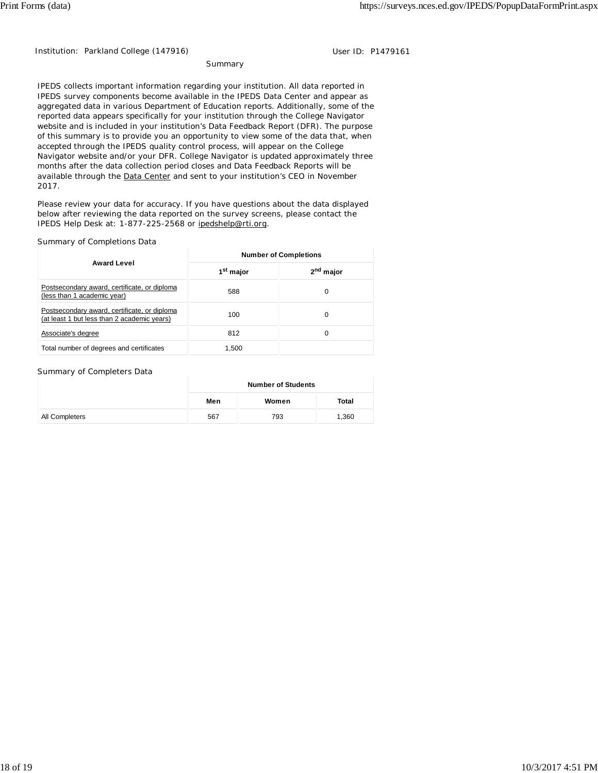Institution: Parkland College (147916) Contract the User ID: P1479161

Summary

IPEDS collects important information regarding your institution. All data reported in IPEDS survey components become available in the IPEDS Data Center and appear as aggregated data in various Department of Education reports. Additionally, some of the reported data appears specifically for your institution through the College Navigator website and is included in your institution's Data Feedback Report (DFR). The purpose of this summary is to provide you an opportunity to view some of the data that, when accepted through the IPEDS quality control process, will appear on the College Navigator website and/or your DFR. College Navigator is updated approximately three months after the data collection period closes and Data Feedback Reports will be available through the Data Center and sent to your institution's CEO in November 2017.

Please review your data for accuracy. If you have questions about the data displayed below after reviewing the data reported on the survey screens, please contact the IPEDS Help Desk at: 1-877-225-2568 or ipedshelp@rti.org.

### Summary of Completions Data

|                                                                                             | <b>Number of Completions</b> |                       |  |  |  |
|---------------------------------------------------------------------------------------------|------------------------------|-----------------------|--|--|--|
| <b>Award Level</b>                                                                          | 1 <sup>st</sup> major        | 2 <sup>nd</sup> major |  |  |  |
| Postsecondary award, certificate, or diploma<br>(less than 1 academic year)                 | 588                          | 0                     |  |  |  |
| Postsecondary award, certificate, or diploma<br>(at least 1 but less than 2 academic years) | 100                          | 0                     |  |  |  |
| Associate's degree                                                                          | 812                          | 0                     |  |  |  |
| Total number of degrees and certificates                                                    | 1.500                        |                       |  |  |  |

#### Summary of Completers Data

|                | <b>Number of Students</b> |       |       |  |
|----------------|---------------------------|-------|-------|--|
|                | Men                       | Women | Total |  |
| All Completers | 567                       | 793   | 1,360 |  |